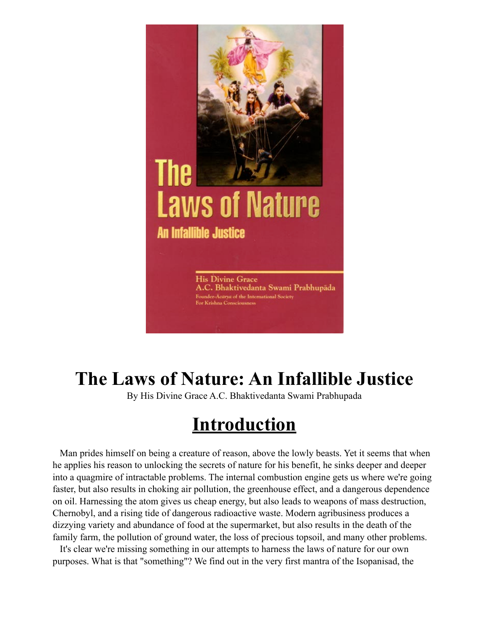

# **The Laws of Nature: An Infallible Justice**

By His Divine Grace A.C. Bhaktivedanta Swami Prabhupada

# **Introduction**

 Man prides himself on being a creature of reason, above the lowly beasts. Yet it seems that when he applies his reason to unlocking the secrets of nature for his benefit, he sinks deeper and deeper into a quagmire of intractable problems. The internal combustion engine gets us where we're going faster, but also results in choking air pollution, the greenhouse effect, and a dangerous dependence on oil. Harnessing the atom gives us cheap energy, but also leads to weapons of mass destruction, Chernobyl, and a rising tide of dangerous radioactive waste. Modern agribusiness produces a dizzying variety and abundance of food at the supermarket, but also results in the death of the family farm, the pollution of ground water, the loss of precious topsoil, and many other problems.

 It's clear we're missing something in our attempts to harness the laws of nature for our own purposes. What is that "something"? We find out in the very first mantra of the Isopanisad, the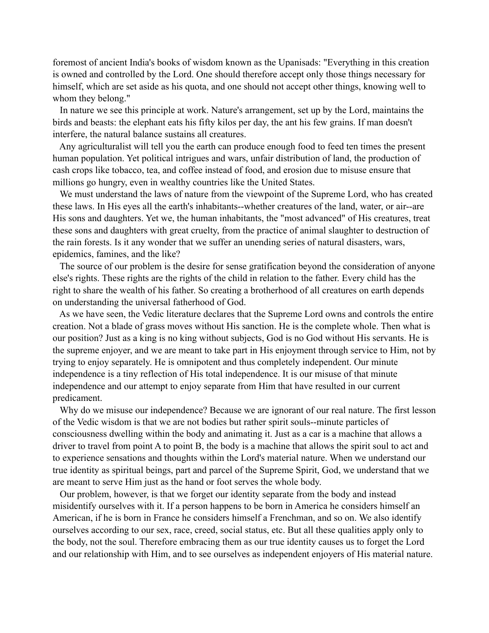foremost of ancient India's books of wisdom known as the Upanisads: "Everything in this creation is owned and controlled by the Lord. One should therefore accept only those things necessary for himself, which are set aside as his quota, and one should not accept other things, knowing well to whom they belong."

 In nature we see this principle at work. Nature's arrangement, set up by the Lord, maintains the birds and beasts: the elephant eats his fifty kilos per day, the ant his few grains. If man doesn't interfere, the natural balance sustains all creatures.

 Any agriculturalist will tell you the earth can produce enough food to feed ten times the present human population. Yet political intrigues and wars, unfair distribution of land, the production of cash crops like tobacco, tea, and coffee instead of food, and erosion due to misuse ensure that millions go hungry, even in wealthy countries like the United States.

 We must understand the laws of nature from the viewpoint of the Supreme Lord, who has created these laws. In His eyes all the earth's inhabitants--whether creatures of the land, water, or air--are His sons and daughters. Yet we, the human inhabitants, the "most advanced" of His creatures, treat these sons and daughters with great cruelty, from the practice of animal slaughter to destruction of the rain forests. Is it any wonder that we suffer an unending series of natural disasters, wars, epidemics, famines, and the like?

 The source of our problem is the desire for sense gratification beyond the consideration of anyone else's rights. These rights are the rights of the child in relation to the father. Every child has the right to share the wealth of his father. So creating a brotherhood of all creatures on earth depends on understanding the universal fatherhood of God.

 As we have seen, the Vedic literature declares that the Supreme Lord owns and controls the entire creation. Not a blade of grass moves without His sanction. He is the complete whole. Then what is our position? Just as a king is no king without subjects, God is no God without His servants. He is the supreme enjoyer, and we are meant to take part in His enjoyment through service to Him, not by trying to enjoy separately. He is omnipotent and thus completely independent. Our minute independence is a tiny reflection of His total independence. It is our misuse of that minute independence and our attempt to enjoy separate from Him that have resulted in our current predicament.

 Why do we misuse our independence? Because we are ignorant of our real nature. The first lesson of the Vedic wisdom is that we are not bodies but rather spirit souls--minute particles of consciousness dwelling within the body and animating it. Just as a car is a machine that allows a driver to travel from point A to point B, the body is a machine that allows the spirit soul to act and to experience sensations and thoughts within the Lord's material nature. When we understand our true identity as spiritual beings, part and parcel of the Supreme Spirit, God, we understand that we are meant to serve Him just as the hand or foot serves the whole body.

 Our problem, however, is that we forget our identity separate from the body and instead misidentify ourselves with it. If a person happens to be born in America he considers himself an American, if he is born in France he considers himself a Frenchman, and so on. We also identify ourselves according to our sex, race, creed, social status, etc. But all these qualities apply only to the body, not the soul. Therefore embracing them as our true identity causes us to forget the Lord and our relationship with Him, and to see ourselves as independent enjoyers of His material nature.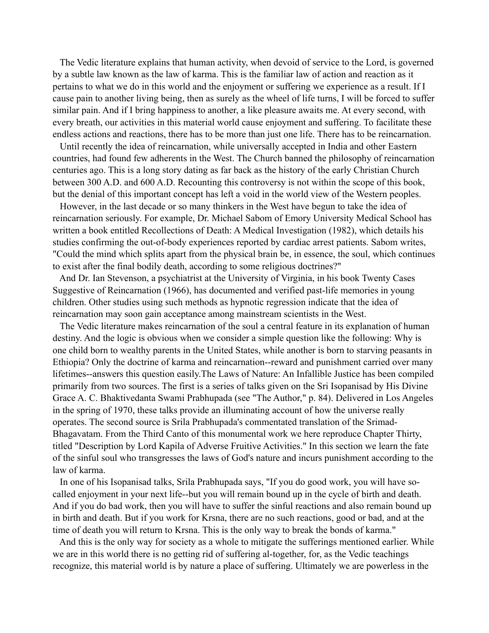The Vedic literature explains that human activity, when devoid of service to the Lord, is governed by a subtle law known as the law of karma. This is the familiar law of action and reaction as it pertains to what we do in this world and the enjoyment or suffering we experience as a result. If I cause pain to another living being, then as surely as the wheel of life turns, I will be forced to suffer similar pain. And if I bring happiness to another, a like pleasure awaits me. At every second, with every breath, our activities in this material world cause enjoyment and suffering. To facilitate these endless actions and reactions, there has to be more than just one life. There has to be reincarnation.

 Until recently the idea of reincarnation, while universally accepted in India and other Eastern countries, had found few adherents in the West. The Church banned the philosophy of reincarnation centuries ago. This is a long story dating as far back as the history of the early Christian Church between 300 A.D. and 600 A.D. Recounting this controversy is not within the scope of this book, but the denial of this important concept has left a void in the world view of the Western peoples.

 However, in the last decade or so many thinkers in the West have begun to take the idea of reincarnation seriously. For example, Dr. Michael Sabom of Emory University Medical School has written a book entitled Recollections of Death: A Medical Investigation (1982), which details his studies confirming the out-of-body experiences reported by cardiac arrest patients. Sabom writes, "Could the mind which splits apart from the physical brain be, in essence, the soul, which continues to exist after the final bodily death, according to some religious doctrines?"

 And Dr. Ian Stevenson, a psychiatrist at the University of Virginia, in his book Twenty Cases Suggestive of Reincarnation (1966), has documented and verified past-life memories in young children. Other studies using such methods as hypnotic regression indicate that the idea of reincarnation may soon gain acceptance among mainstream scientists in the West.

 The Vedic literature makes reincarnation of the soul a central feature in its explanation of human destiny. And the logic is obvious when we consider a simple question like the following: Why is one child born to wealthy parents in the United States, while another is born to starving peasants in Ethiopia? Only the doctrine of karma and reincarnation--reward and punishment carried over many lifetimes--answers this question easily.The Laws of Nature: An Infallible Justice has been compiled primarily from two sources. The first is a series of talks given on the Sri Isopanisad by His Divine Grace A. C. Bhaktivedanta Swami Prabhupada (see "The Author," p. 84). Delivered in Los Angeles in the spring of 1970, these talks provide an illuminating account of how the universe really operates. The second source is Srila Prabhupada's commentated translation of the Srimad-Bhagavatam. From the Third Canto of this monumental work we here reproduce Chapter Thirty, titled "Description by Lord Kapila of Adverse Fruitive Activities." In this section we learn the fate of the sinful soul who transgresses the laws of God's nature and incurs punishment according to the law of karma.

 In one of his Isopanisad talks, Srila Prabhupada says, "If you do good work, you will have socalled enjoyment in your next life--but you will remain bound up in the cycle of birth and death. And if you do bad work, then you will have to suffer the sinful reactions and also remain bound up in birth and death. But if you work for Krsna, there are no such reactions, good or bad, and at the time of death you will return to Krsna. This is the only way to break the bonds of karma."

 And this is the only way for society as a whole to mitigate the sufferings mentioned earlier. While we are in this world there is no getting rid of suffering al-together, for, as the Vedic teachings recognize, this material world is by nature a place of suffering. Ultimately we are powerless in the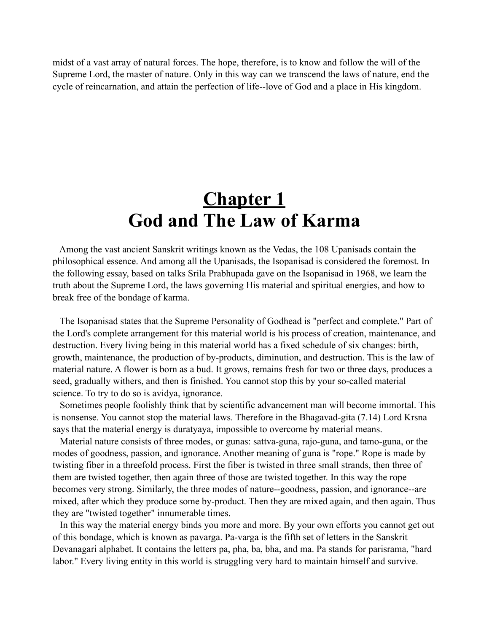midst of a vast array of natural forces. The hope, therefore, is to know and follow the will of the Supreme Lord, the master of nature. Only in this way can we transcend the laws of nature, end the cycle of reincarnation, and attain the perfection of life--love of God and a place in His kingdom.

## **Chapter 1 God and The Law of Karma**

 Among the vast ancient Sanskrit writings known as the Vedas, the 108 Upanisads contain the philosophical essence. And among all the Upanisads, the Isopanisad is considered the foremost. In the following essay, based on talks Srila Prabhupada gave on the Isopanisad in 1968, we learn the truth about the Supreme Lord, the laws governing His material and spiritual energies, and how to break free of the bondage of karma.

 The Isopanisad states that the Supreme Personality of Godhead is "perfect and complete." Part of the Lord's complete arrangement for this material world is his process of creation, maintenance, and destruction. Every living being in this material world has a fixed schedule of six changes: birth, growth, maintenance, the production of by-products, diminution, and destruction. This is the law of material nature. A flower is born as a bud. It grows, remains fresh for two or three days, produces a seed, gradually withers, and then is finished. You cannot stop this by your so-called material science. To try to do so is avidya, ignorance.

 Sometimes people foolishly think that by scientific advancement man will become immortal. This is nonsense. You cannot stop the material laws. Therefore in the Bhagavad-gita (7.14) Lord Krsna says that the material energy is duratyaya, impossible to overcome by material means.

 Material nature consists of three modes, or gunas: sattva-guna, rajo-guna, and tamo-guna, or the modes of goodness, passion, and ignorance. Another meaning of guna is "rope." Rope is made by twisting fiber in a threefold process. First the fiber is twisted in three small strands, then three of them are twisted together, then again three of those are twisted together. In this way the rope becomes very strong. Similarly, the three modes of nature--goodness, passion, and ignorance--are mixed, after which they produce some by-product. Then they are mixed again, and then again. Thus they are "twisted together" innumerable times.

 In this way the material energy binds you more and more. By your own efforts you cannot get out of this bondage, which is known as pavarga. Pa-varga is the fifth set of letters in the Sanskrit Devanagari alphabet. It contains the letters pa, pha, ba, bha, and ma. Pa stands for parisrama, "hard labor." Every living entity in this world is struggling very hard to maintain himself and survive.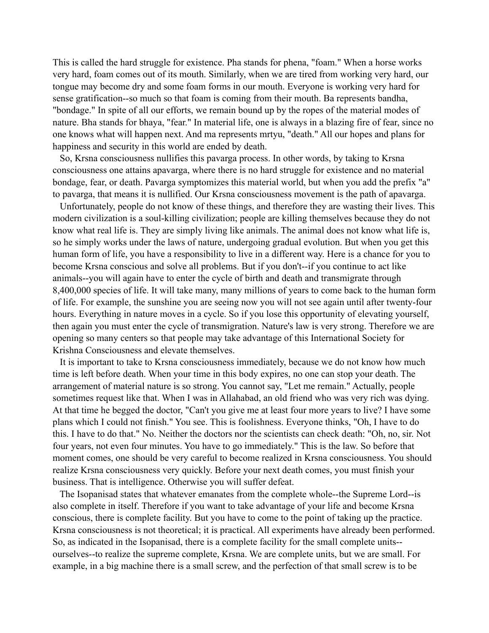This is called the hard struggle for existence. Pha stands for phena, "foam." When a horse works very hard, foam comes out of its mouth. Similarly, when we are tired from working very hard, our tongue may become dry and some foam forms in our mouth. Everyone is working very hard for sense gratification--so much so that foam is coming from their mouth. Ba represents bandha, "bondage." In spite of all our efforts, we remain bound up by the ropes of the material modes of nature. Bha stands for bhaya, "fear." In material life, one is always in a blazing fire of fear, since no one knows what will happen next. And ma represents mrtyu, "death." All our hopes and plans for happiness and security in this world are ended by death.

 So, Krsna consciousness nullifies this pavarga process. In other words, by taking to Krsna consciousness one attains apavarga, where there is no hard struggle for existence and no material bondage, fear, or death. Pavarga symptomizes this material world, but when you add the prefix "a" to pavarga, that means it is nullified. Our Krsna consciousness movement is the path of apavarga.

 Unfortunately, people do not know of these things, and therefore they are wasting their lives. This modern civilization is a soul-killing civilization; people are killing themselves because they do not know what real life is. They are simply living like animals. The animal does not know what life is, so he simply works under the laws of nature, undergoing gradual evolution. But when you get this human form of life, you have a responsibility to live in a different way. Here is a chance for you to become Krsna conscious and solve all problems. But if you don't--if you continue to act like animals--you will again have to enter the cycle of birth and death and transmigrate through 8,400,000 species of life. It will take many, many millions of years to come back to the human form of life. For example, the sunshine you are seeing now you will not see again until after twenty-four hours. Everything in nature moves in a cycle. So if you lose this opportunity of elevating yourself, then again you must enter the cycle of transmigration. Nature's law is very strong. Therefore we are opening so many centers so that people may take advantage of this International Society for Krishna Consciousness and elevate themselves.

 It is important to take to Krsna consciousness immediately, because we do not know how much time is left before death. When your time in this body expires, no one can stop your death. The arrangement of material nature is so strong. You cannot say, "Let me remain." Actually, people sometimes request like that. When I was in Allahabad, an old friend who was very rich was dying. At that time he begged the doctor, "Can't you give me at least four more years to live? I have some plans which I could not finish." You see. This is foolishness. Everyone thinks, "Oh, I have to do this. I have to do that." No. Neither the doctors nor the scientists can check death: "Oh, no, sir. Not four years, not even four minutes. You have to go immediately." This is the law. So before that moment comes, one should be very careful to become realized in Krsna consciousness. You should realize Krsna consciousness very quickly. Before your next death comes, you must finish your business. That is intelligence. Otherwise you will suffer defeat.

 The Isopanisad states that whatever emanates from the complete whole--the Supreme Lord--is also complete in itself. Therefore if you want to take advantage of your life and become Krsna conscious, there is complete facility. But you have to come to the point of taking up the practice. Krsna consciousness is not theoretical; it is practical. All experiments have already been performed. So, as indicated in the Isopanisad, there is a complete facility for the small complete units- ourselves--to realize the supreme complete, Krsna. We are complete units, but we are small. For example, in a big machine there is a small screw, and the perfection of that small screw is to be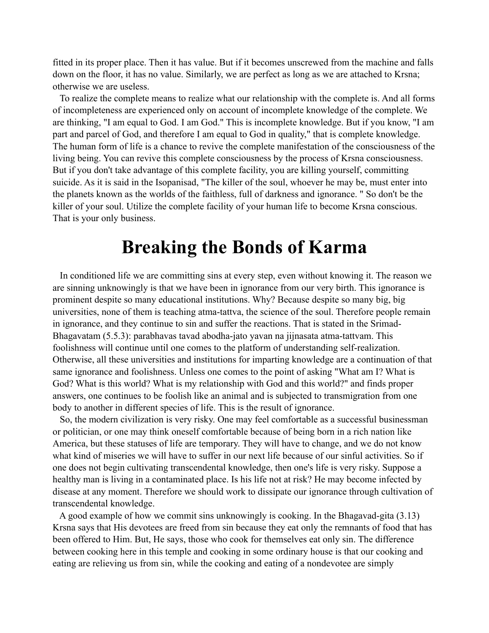fitted in its proper place. Then it has value. But if it becomes unscrewed from the machine and falls down on the floor, it has no value. Similarly, we are perfect as long as we are attached to Krsna; otherwise we are useless.

 To realize the complete means to realize what our relationship with the complete is. And all forms of incompleteness are experienced only on account of incomplete knowledge of the complete. We are thinking, "I am equal to God. I am God." This is incomplete knowledge. But if you know, "I am part and parcel of God, and therefore I am equal to God in quality," that is complete knowledge. The human form of life is a chance to revive the complete manifestation of the consciousness of the living being. You can revive this complete consciousness by the process of Krsna consciousness. But if you don't take advantage of this complete facility, you are killing yourself, committing suicide. As it is said in the Isopanisad, "The killer of the soul, whoever he may be, must enter into the planets known as the worlds of the faithless, full of darkness and ignorance. " So don't be the killer of your soul. Utilize the complete facility of your human life to become Krsna conscious. That is your only business.

### **Breaking the Bonds of Karma**

 In conditioned life we are committing sins at every step, even without knowing it. The reason we are sinning unknowingly is that we have been in ignorance from our very birth. This ignorance is prominent despite so many educational institutions. Why? Because despite so many big, big universities, none of them is teaching atma-tattva, the science of the soul. Therefore people remain in ignorance, and they continue to sin and suffer the reactions. That is stated in the Srimad-Bhagavatam (5.5.3): parabhavas tavad abodha-jato yavan na jijnasata atma-tattvam. This foolishness will continue until one comes to the platform of understanding self-realization. Otherwise, all these universities and institutions for imparting knowledge are a continuation of that same ignorance and foolishness. Unless one comes to the point of asking "What am I? What is God? What is this world? What is my relationship with God and this world?" and finds proper answers, one continues to be foolish like an animal and is subjected to transmigration from one body to another in different species of life. This is the result of ignorance.

 So, the modern civilization is very risky. One may feel comfortable as a successful businessman or politician, or one may think oneself comfortable because of being born in a rich nation like America, but these statuses of life are temporary. They will have to change, and we do not know what kind of miseries we will have to suffer in our next life because of our sinful activities. So if one does not begin cultivating transcendental knowledge, then one's life is very risky. Suppose a healthy man is living in a contaminated place. Is his life not at risk? He may become infected by disease at any moment. Therefore we should work to dissipate our ignorance through cultivation of transcendental knowledge.

 A good example of how we commit sins unknowingly is cooking. In the Bhagavad-gita (3.13) Krsna says that His devotees are freed from sin because they eat only the remnants of food that has been offered to Him. But, He says, those who cook for themselves eat only sin. The difference between cooking here in this temple and cooking in some ordinary house is that our cooking and eating are relieving us from sin, while the cooking and eating of a nondevotee are simply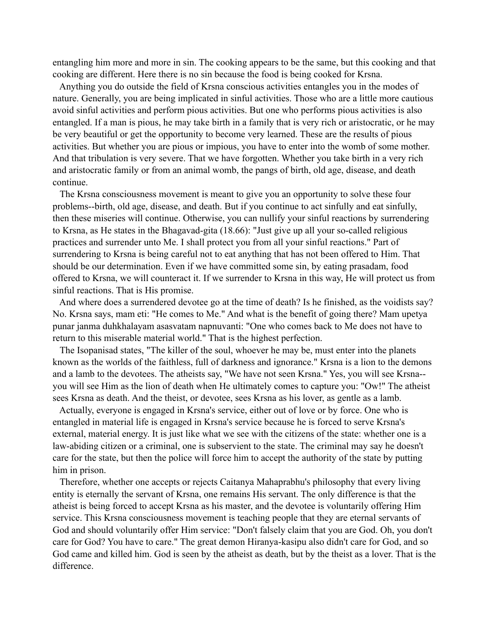entangling him more and more in sin. The cooking appears to be the same, but this cooking and that cooking are different. Here there is no sin because the food is being cooked for Krsna.

 Anything you do outside the field of Krsna conscious activities entangles you in the modes of nature. Generally, you are being implicated in sinful activities. Those who are a little more cautious avoid sinful activities and perform pious activities. But one who performs pious activities is also entangled. If a man is pious, he may take birth in a family that is very rich or aristocratic, or he may be very beautiful or get the opportunity to become very learned. These are the results of pious activities. But whether you are pious or impious, you have to enter into the womb of some mother. And that tribulation is very severe. That we have forgotten. Whether you take birth in a very rich and aristocratic family or from an animal womb, the pangs of birth, old age, disease, and death continue.

 The Krsna consciousness movement is meant to give you an opportunity to solve these four problems--birth, old age, disease, and death. But if you continue to act sinfully and eat sinfully, then these miseries will continue. Otherwise, you can nullify your sinful reactions by surrendering to Krsna, as He states in the Bhagavad-gita (18.66): "Just give up all your so-called religious practices and surrender unto Me. I shall protect you from all your sinful reactions." Part of surrendering to Krsna is being careful not to eat anything that has not been offered to Him. That should be our determination. Even if we have committed some sin, by eating prasadam, food offered to Krsna, we will counteract it. If we surrender to Krsna in this way, He will protect us from sinful reactions. That is His promise.

 And where does a surrendered devotee go at the time of death? Is he finished, as the voidists say? No. Krsna says, mam eti: "He comes to Me." And what is the benefit of going there? Mam upetya punar janma duhkhalayam asasvatam napnuvanti: "One who comes back to Me does not have to return to this miserable material world." That is the highest perfection.

 The Isopanisad states, "The killer of the soul, whoever he may be, must enter into the planets known as the worlds of the faithless, full of darkness and ignorance." Krsna is a lion to the demons and a lamb to the devotees. The atheists say, "We have not seen Krsna." Yes, you will see Krsna- you will see Him as the lion of death when He ultimately comes to capture you: "Ow!" The atheist sees Krsna as death. And the theist, or devotee, sees Krsna as his lover, as gentle as a lamb.

 Actually, everyone is engaged in Krsna's service, either out of love or by force. One who is entangled in material life is engaged in Krsna's service because he is forced to serve Krsna's external, material energy. It is just like what we see with the citizens of the state: whether one is a law-abiding citizen or a criminal, one is subservient to the state. The criminal may say he doesn't care for the state, but then the police will force him to accept the authority of the state by putting him in prison.

 Therefore, whether one accepts or rejects Caitanya Mahaprabhu's philosophy that every living entity is eternally the servant of Krsna, one remains His servant. The only difference is that the atheist is being forced to accept Krsna as his master, and the devotee is voluntarily offering Him service. This Krsna consciousness movement is teaching people that they are eternal servants of God and should voluntarily offer Him service: "Don't falsely claim that you are God. Oh, you don't care for God? You have to care." The great demon Hiranya-kasipu also didn't care for God, and so God came and killed him. God is seen by the atheist as death, but by the theist as a lover. That is the difference.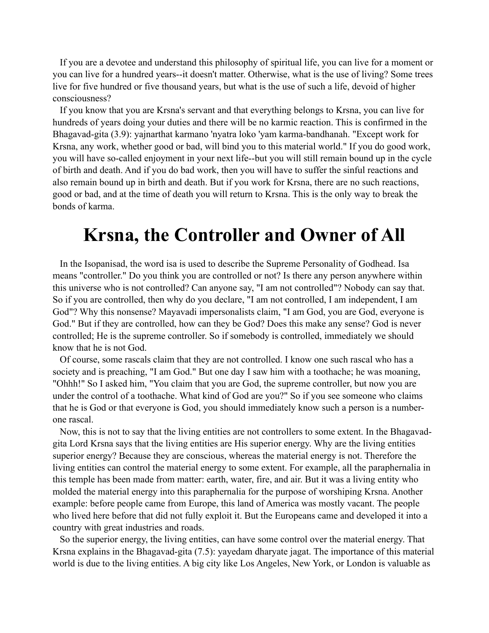If you are a devotee and understand this philosophy of spiritual life, you can live for a moment or you can live for a hundred years--it doesn't matter. Otherwise, what is the use of living? Some trees live for five hundred or five thousand years, but what is the use of such a life, devoid of higher consciousness?

 If you know that you are Krsna's servant and that everything belongs to Krsna, you can live for hundreds of years doing your duties and there will be no karmic reaction. This is confirmed in the Bhagavad-gita (3.9): yajnarthat karmano 'nyatra loko 'yam karma-bandhanah. "Except work for Krsna, any work, whether good or bad, will bind you to this material world." If you do good work, you will have so-called enjoyment in your next life--but you will still remain bound up in the cycle of birth and death. And if you do bad work, then you will have to suffer the sinful reactions and also remain bound up in birth and death. But if you work for Krsna, there are no such reactions, good or bad, and at the time of death you will return to Krsna. This is the only way to break the bonds of karma.

## **Krsna, the Controller and Owner of All**

 In the Isopanisad, the word isa is used to describe the Supreme Personality of Godhead. Isa means "controller." Do you think you are controlled or not? Is there any person anywhere within this universe who is not controlled? Can anyone say, "I am not controlled"? Nobody can say that. So if you are controlled, then why do you declare, "I am not controlled, I am independent, I am God"? Why this nonsense? Mayavadi impersonalists claim, "I am God, you are God, everyone is God." But if they are controlled, how can they be God? Does this make any sense? God is never controlled; He is the supreme controller. So if somebody is controlled, immediately we should know that he is not God.

 Of course, some rascals claim that they are not controlled. I know one such rascal who has a society and is preaching, "I am God." But one day I saw him with a toothache; he was moaning, "Ohhh!" So I asked him, "You claim that you are God, the supreme controller, but now you are under the control of a toothache. What kind of God are you?" So if you see someone who claims that he is God or that everyone is God, you should immediately know such a person is a numberone rascal.

 Now, this is not to say that the living entities are not controllers to some extent. In the Bhagavadgita Lord Krsna says that the living entities are His superior energy. Why are the living entities superior energy? Because they are conscious, whereas the material energy is not. Therefore the living entities can control the material energy to some extent. For example, all the paraphernalia in this temple has been made from matter: earth, water, fire, and air. But it was a living entity who molded the material energy into this paraphernalia for the purpose of worshiping Krsna. Another example: before people came from Europe, this land of America was mostly vacant. The people who lived here before that did not fully exploit it. But the Europeans came and developed it into a country with great industries and roads.

 So the superior energy, the living entities, can have some control over the material energy. That Krsna explains in the Bhagavad-gita (7.5): yayedam dharyate jagat. The importance of this material world is due to the living entities. A big city like Los Angeles, New York, or London is valuable as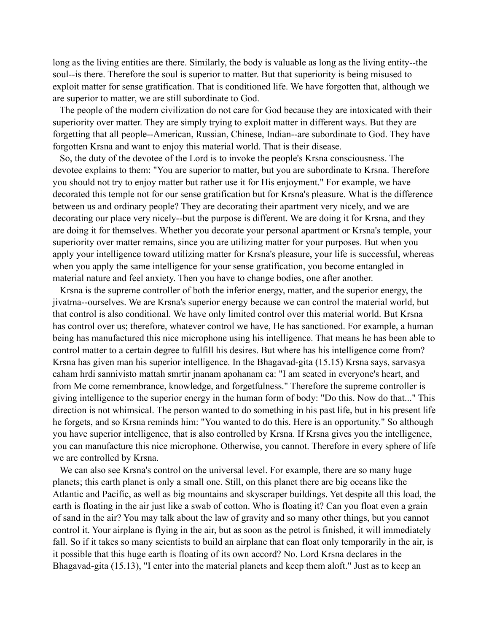long as the living entities are there. Similarly, the body is valuable as long as the living entity--the soul--is there. Therefore the soul is superior to matter. But that superiority is being misused to exploit matter for sense gratification. That is conditioned life. We have forgotten that, although we are superior to matter, we are still subordinate to God.

 The people of the modern civilization do not care for God because they are intoxicated with their superiority over matter. They are simply trying to exploit matter in different ways. But they are forgetting that all people--American, Russian, Chinese, Indian--are subordinate to God. They have forgotten Krsna and want to enjoy this material world. That is their disease.

 So, the duty of the devotee of the Lord is to invoke the people's Krsna consciousness. The devotee explains to them: "You are superior to matter, but you are subordinate to Krsna. Therefore you should not try to enjoy matter but rather use it for His enjoyment." For example, we have decorated this temple not for our sense gratification but for Krsna's pleasure. What is the difference between us and ordinary people? They are decorating their apartment very nicely, and we are decorating our place very nicely--but the purpose is different. We are doing it for Krsna, and they are doing it for themselves. Whether you decorate your personal apartment or Krsna's temple, your superiority over matter remains, since you are utilizing matter for your purposes. But when you apply your intelligence toward utilizing matter for Krsna's pleasure, your life is successful, whereas when you apply the same intelligence for your sense gratification, you become entangled in material nature and feel anxiety. Then you have to change bodies, one after another.

 Krsna is the supreme controller of both the inferior energy, matter, and the superior energy, the jivatma--ourselves. We are Krsna's superior energy because we can control the material world, but that control is also conditional. We have only limited control over this material world. But Krsna has control over us; therefore, whatever control we have, He has sanctioned. For example, a human being has manufactured this nice microphone using his intelligence. That means he has been able to control matter to a certain degree to fulfill his desires. But where has his intelligence come from? Krsna has given man his superior intelligence. In the Bhagavad-gita (15.15) Krsna says, sarvasya caham hrdi sannivisto mattah smrtir jnanam apohanam ca: "I am seated in everyone's heart, and from Me come remembrance, knowledge, and forgetfulness." Therefore the supreme controller is giving intelligence to the superior energy in the human form of body: "Do this. Now do that..." This direction is not whimsical. The person wanted to do something in his past life, but in his present life he forgets, and so Krsna reminds him: "You wanted to do this. Here is an opportunity." So although you have superior intelligence, that is also controlled by Krsna. If Krsna gives you the intelligence, you can manufacture this nice microphone. Otherwise, you cannot. Therefore in every sphere of life we are controlled by Krsna.

 We can also see Krsna's control on the universal level. For example, there are so many huge planets; this earth planet is only a small one. Still, on this planet there are big oceans like the Atlantic and Pacific, as well as big mountains and skyscraper buildings. Yet despite all this load, the earth is floating in the air just like a swab of cotton. Who is floating it? Can you float even a grain of sand in the air? You may talk about the law of gravity and so many other things, but you cannot control it. Your airplane is flying in the air, but as soon as the petrol is finished, it will immediately fall. So if it takes so many scientists to build an airplane that can float only temporarily in the air, is it possible that this huge earth is floating of its own accord? No. Lord Krsna declares in the Bhagavad-gita (15.13), "I enter into the material planets and keep them aloft." Just as to keep an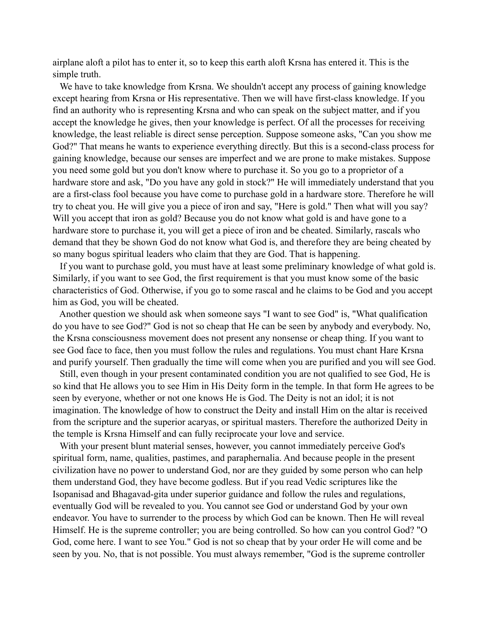airplane aloft a pilot has to enter it, so to keep this earth aloft Krsna has entered it. This is the simple truth.

 We have to take knowledge from Krsna. We shouldn't accept any process of gaining knowledge except hearing from Krsna or His representative. Then we will have first-class knowledge. If you find an authority who is representing Krsna and who can speak on the subject matter, and if you accept the knowledge he gives, then your knowledge is perfect. Of all the processes for receiving knowledge, the least reliable is direct sense perception. Suppose someone asks, "Can you show me God?" That means he wants to experience everything directly. But this is a second-class process for gaining knowledge, because our senses are imperfect and we are prone to make mistakes. Suppose you need some gold but you don't know where to purchase it. So you go to a proprietor of a hardware store and ask, "Do you have any gold in stock?" He will immediately understand that you are a first-class fool because you have come to purchase gold in a hardware store. Therefore he will try to cheat you. He will give you a piece of iron and say, "Here is gold." Then what will you say? Will you accept that iron as gold? Because you do not know what gold is and have gone to a hardware store to purchase it, you will get a piece of iron and be cheated. Similarly, rascals who demand that they be shown God do not know what God is, and therefore they are being cheated by so many bogus spiritual leaders who claim that they are God. That is happening.

 If you want to purchase gold, you must have at least some preliminary knowledge of what gold is. Similarly, if you want to see God, the first requirement is that you must know some of the basic characteristics of God. Otherwise, if you go to some rascal and he claims to be God and you accept him as God, you will be cheated.

 Another question we should ask when someone says "I want to see God" is, "What qualification do you have to see God?" God is not so cheap that He can be seen by anybody and everybody. No, the Krsna consciousness movement does not present any nonsense or cheap thing. If you want to see God face to face, then you must follow the rules and regulations. You must chant Hare Krsna and purify yourself. Then gradually the time will come when you are purified and you will see God.

 Still, even though in your present contaminated condition you are not qualified to see God, He is so kind that He allows you to see Him in His Deity form in the temple. In that form He agrees to be seen by everyone, whether or not one knows He is God. The Deity is not an idol; it is not imagination. The knowledge of how to construct the Deity and install Him on the altar is received from the scripture and the superior acaryas, or spiritual masters. Therefore the authorized Deity in the temple is Krsna Himself and can fully reciprocate your love and service.

 With your present blunt material senses, however, you cannot immediately perceive God's spiritual form, name, qualities, pastimes, and paraphernalia. And because people in the present civilization have no power to understand God, nor are they guided by some person who can help them understand God, they have become godless. But if you read Vedic scriptures like the Isopanisad and Bhagavad-gita under superior guidance and follow the rules and regulations, eventually God will be revealed to you. You cannot see God or understand God by your own endeavor. You have to surrender to the process by which God can be known. Then He will reveal Himself. He is the supreme controller; you are being controlled. So how can you control God? "O God, come here. I want to see You." God is not so cheap that by your order He will come and be seen by you. No, that is not possible. You must always remember, "God is the supreme controller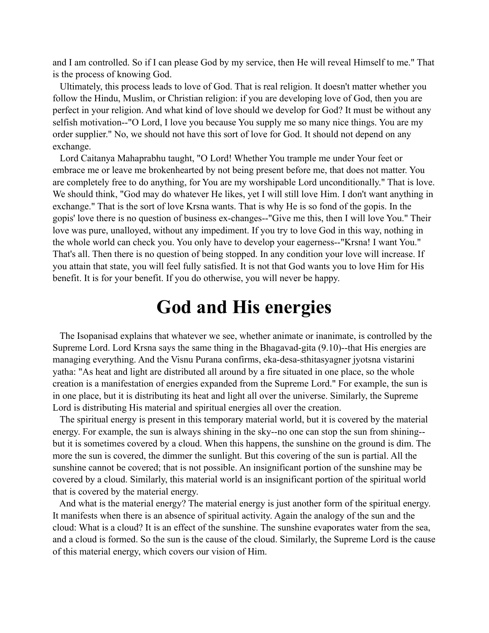and I am controlled. So if I can please God by my service, then He will reveal Himself to me." That is the process of knowing God.

 Ultimately, this process leads to love of God. That is real religion. It doesn't matter whether you follow the Hindu, Muslim, or Christian religion: if you are developing love of God, then you are perfect in your religion. And what kind of love should we develop for God? It must be without any selfish motivation--"O Lord, I love you because You supply me so many nice things. You are my order supplier." No, we should not have this sort of love for God. It should not depend on any exchange.

 Lord Caitanya Mahaprabhu taught, "O Lord! Whether You trample me under Your feet or embrace me or leave me brokenhearted by not being present before me, that does not matter. You are completely free to do anything, for You are my worshipable Lord unconditionally." That is love. We should think, "God may do whatever He likes, yet I will still love Him. I don't want anything in exchange." That is the sort of love Krsna wants. That is why He is so fond of the gopis. In the gopis' love there is no question of business ex-changes--"Give me this, then I will love You." Their love was pure, unalloyed, without any impediment. If you try to love God in this way, nothing in the whole world can check you. You only have to develop your eagerness--"Krsna! I want You." That's all. Then there is no question of being stopped. In any condition your love will increase. If you attain that state, you will feel fully satisfied. It is not that God wants you to love Him for His benefit. It is for your benefit. If you do otherwise, you will never be happy.

### **God and His energies**

 The Isopanisad explains that whatever we see, whether animate or inanimate, is controlled by the Supreme Lord. Lord Krsna says the same thing in the Bhagavad-gita (9.10)--that His energies are managing everything. And the Visnu Purana confirms, eka-desa-sthitasyagner jyotsna vistarini yatha: "As heat and light are distributed all around by a fire situated in one place, so the whole creation is a manifestation of energies expanded from the Supreme Lord." For example, the sun is in one place, but it is distributing its heat and light all over the universe. Similarly, the Supreme Lord is distributing His material and spiritual energies all over the creation.

 The spiritual energy is present in this temporary material world, but it is covered by the material energy. For example, the sun is always shining in the sky--no one can stop the sun from shining- but it is sometimes covered by a cloud. When this happens, the sunshine on the ground is dim. The more the sun is covered, the dimmer the sunlight. But this covering of the sun is partial. All the sunshine cannot be covered; that is not possible. An insignificant portion of the sunshine may be covered by a cloud. Similarly, this material world is an insignificant portion of the spiritual world that is covered by the material energy.

 And what is the material energy? The material energy is just another form of the spiritual energy. It manifests when there is an absence of spiritual activity. Again the analogy of the sun and the cloud: What is a cloud? It is an effect of the sunshine. The sunshine evaporates water from the sea, and a cloud is formed. So the sun is the cause of the cloud. Similarly, the Supreme Lord is the cause of this material energy, which covers our vision of Him.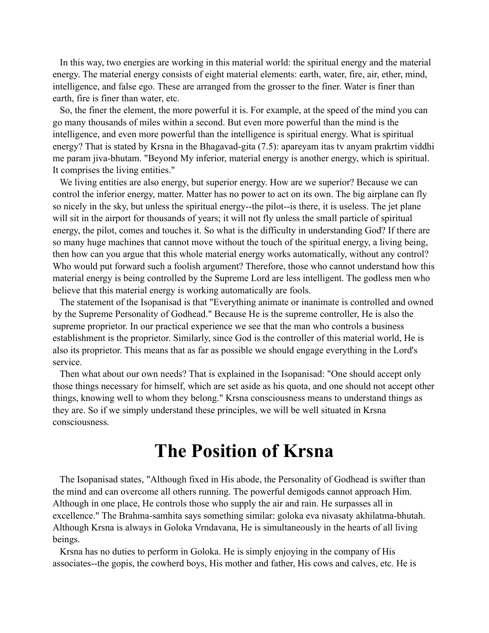In this way, two energies are working in this material world: the spiritual energy and the material energy. The material energy consists of eight material elements: earth, water, fire, air, ether, mind, intelligence, and false ego. These are arranged from the grosser to the finer. Water is finer than earth, fire is finer than water, etc.

 So, the finer the element, the more powerful it is. For example, at the speed of the mind you can go many thousands of miles within a second. But even more powerful than the mind is the intelligence, and even more powerful than the intelligence is spiritual energy. What is spiritual energy? That is stated by Krsna in the Bhagavad-gita (7.5): apareyam itas tv anyam prakrtim viddhi me param jiva-bhutam. "Beyond My inferior, material energy is another energy, which is spiritual. It comprises the living entities."

 We living entities are also energy, but superior energy. How are we superior? Because we can control the inferior energy, matter. Matter has no power to act on its own. The big airplane can fly so nicely in the sky, but unless the spiritual energy--the pilot--is there, it is useless. The jet plane will sit in the airport for thousands of years; it will not fly unless the small particle of spiritual energy, the pilot, comes and touches it. So what is the difficulty in understanding God? If there are so many huge machines that cannot move without the touch of the spiritual energy, a living being, then how can you argue that this whole material energy works automatically, without any control? Who would put forward such a foolish argument? Therefore, those who cannot understand how this material energy is being controlled by the Supreme Lord are less intelligent. The godless men who believe that this material energy is working automatically are fools.

 The statement of the Isopanisad is that "Everything animate or inanimate is controlled and owned by the Supreme Personality of Godhead." Because He is the supreme controller, He is also the supreme proprietor. In our practical experience we see that the man who controls a business establishment is the proprietor. Similarly, since God is the controller of this material world, He is also its proprietor. This means that as far as possible we should engage everything in the Lord's service.

 Then what about our own needs? That is explained in the Isopanisad: "One should accept only those things necessary for himself, which are set aside as his quota, and one should not accept other things, knowing well to whom they belong." Krsna consciousness means to understand things as they are. So if we simply understand these principles, we will be well situated in Krsna consciousness.

#### **The Position of Krsna**

 The Isopanisad states, "Although fixed in His abode, the Personality of Godhead is swifter than the mind and can overcome all others running. The powerful demigods cannot approach Him. Although in one place, He controls those who supply the air and rain. He surpasses all in excellence." The Brahma-samhita says something similar: goloka eva nivasaty akhilatma-bhutah. Although Krsna is always in Goloka Vrndavana, He is simultaneously in the hearts of all living beings.

 Krsna has no duties to perform in Goloka. He is simply enjoying in the company of His associates--the gopis, the cowherd boys, His mother and father, His cows and calves, etc. He is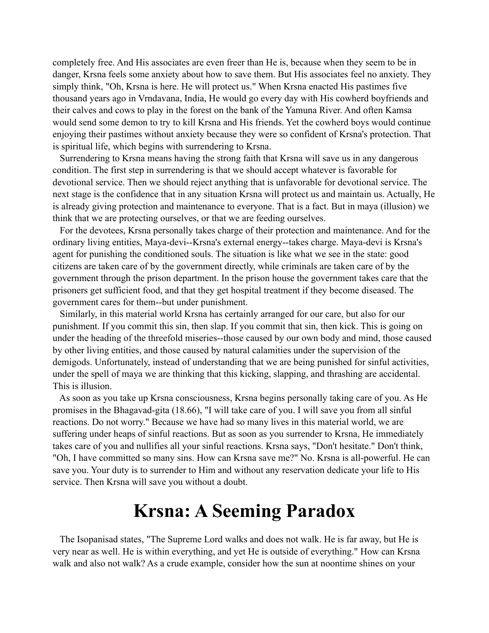completely free. And His associates are even freer than He is, because when they seem to be in danger, Krsna feels some anxiety about how to save them. But His associates feel no anxiety. They simply think, "Oh, Krsna is here. He will protect us." When Krsna enacted His pastimes five thousand years ago in Vrndavana, India, He would go every day with His cowherd boyfriends and their calves and cows to play in the forest on the bank of the Yamuna River. And often Kamsa would send some demon to try to kill Krsna and His friends. Yet the cowherd boys would continue enjoying their pastimes without anxiety because they were so confident of Krsna's protection. That is spiritual life, which begins with surrendering to Krsna.

 Surrendering to Krsna means having the strong faith that Krsna will save us in any dangerous condition. The first step in surrendering is that we should accept whatever is favorable for devotional service. Then we should reject anything that is unfavorable for devotional service. The next stage is the confidence that in any situation Krsna will protect us and maintain us. Actually, He is already giving protection and maintenance to everyone. That is a fact. But in maya (illusion) we think that we are protecting ourselves, or that we are feeding ourselves.

 For the devotees, Krsna personally takes charge of their protection and maintenance. And for the ordinary living entities, Maya-devi--Krsna's external energy--takes charge. Maya-devi is Krsna's agent for punishing the conditioned souls. The situation is like what we see in the state: good citizens are taken care of by the government directly, while criminals are taken care of by the government through the prison department. In the prison house the government takes care that the prisoners get sufficient food, and that they get hospital treatment if they become diseased. The government cares for them--but under punishment.

 Similarly, in this material world Krsna has certainly arranged for our care, but also for our punishment. If you commit this sin, then slap. If you commit that sin, then kick. This is going on under the heading of the threefold miseries--those caused by our own body and mind, those caused by other living entities, and those caused by natural calamities under the supervision of the demigods. Unfortunately, instead of understanding that we are being punished for sinful activities, under the spell of maya we are thinking that this kicking, slapping, and thrashing are accidental. This is illusion.

 As soon as you take up Krsna consciousness, Krsna begins personally taking care of you. As He promises in the Bhagavad-gita (18.66), "I will take care of you. I will save you from all sinful reactions. Do not worry." Because we have had so many lives in this material world, we are suffering under heaps of sinful reactions. But as soon as you surrender to Krsna, He immediately takes care of you and nullifies all your sinful reactions. Krsna says, "Don't hesitate." Don't think, "Oh, I have committed so many sins. How can Krsna save me?" No. Krsna is all-powerful. He can save you. Your duty is to surrender to Him and without any reservation dedicate your life to His service. Then Krsna will save you without a doubt.

## **Krsna: A Seeming Paradox**

 The Isopanisad states, "The Supreme Lord walks and does not walk. He is far away, but He is very near as well. He is within everything, and yet He is outside of everything." How can Krsna walk and also not walk? As a crude example, consider how the sun at noontime shines on your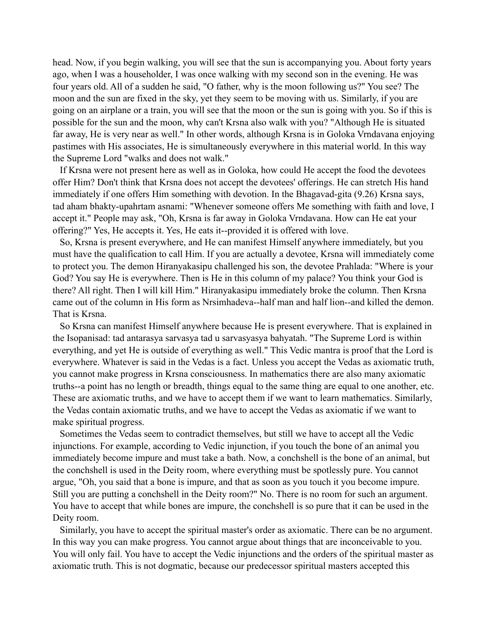head. Now, if you begin walking, you will see that the sun is accompanying you. About forty years ago, when I was a householder, I was once walking with my second son in the evening. He was four years old. All of a sudden he said, "O father, why is the moon following us?" You see? The moon and the sun are fixed in the sky, yet they seem to be moving with us. Similarly, if you are going on an airplane or a train, you will see that the moon or the sun is going with you. So if this is possible for the sun and the moon, why can't Krsna also walk with you? "Although He is situated far away, He is very near as well." In other words, although Krsna is in Goloka Vrndavana enjoying pastimes with His associates, He is simultaneously everywhere in this material world. In this way the Supreme Lord "walks and does not walk."

 If Krsna were not present here as well as in Goloka, how could He accept the food the devotees offer Him? Don't think that Krsna does not accept the devotees' offerings. He can stretch His hand immediately if one offers Him something with devotion. In the Bhagavad-gita (9.26) Krsna says, tad aham bhakty-upahrtam asnami: "Whenever someone offers Me something with faith and love, I accept it." People may ask, "Oh, Krsna is far away in Goloka Vrndavana. How can He eat your offering?" Yes, He accepts it. Yes, He eats it--provided it is offered with love.

 So, Krsna is present everywhere, and He can manifest Himself anywhere immediately, but you must have the qualification to call Him. If you are actually a devotee, Krsna will immediately come to protect you. The demon Hiranyakasipu challenged his son, the devotee Prahlada: "Where is your God? You say He is everywhere. Then is He in this column of my palace? You think your God is there? All right. Then I will kill Him." Hiranyakasipu immediately broke the column. Then Krsna came out of the column in His form as Nrsimhadeva--half man and half lion--and killed the demon. That is Krsna.

 So Krsna can manifest Himself anywhere because He is present everywhere. That is explained in the Isopanisad: tad antarasya sarvasya tad u sarvasyasya bahyatah. "The Supreme Lord is within everything, and yet He is outside of everything as well." This Vedic mantra is proof that the Lord is everywhere. Whatever is said in the Vedas is a fact. Unless you accept the Vedas as axiomatic truth, you cannot make progress in Krsna consciousness. In mathematics there are also many axiomatic truths--a point has no length or breadth, things equal to the same thing are equal to one another, etc. These are axiomatic truths, and we have to accept them if we want to learn mathematics. Similarly, the Vedas contain axiomatic truths, and we have to accept the Vedas as axiomatic if we want to make spiritual progress.

 Sometimes the Vedas seem to contradict themselves, but still we have to accept all the Vedic injunctions. For example, according to Vedic injunction, if you touch the bone of an animal you immediately become impure and must take a bath. Now, a conchshell is the bone of an animal, but the conchshell is used in the Deity room, where everything must be spotlessly pure. You cannot argue, "Oh, you said that a bone is impure, and that as soon as you touch it you become impure. Still you are putting a conchshell in the Deity room?" No. There is no room for such an argument. You have to accept that while bones are impure, the conchshell is so pure that it can be used in the Deity room.

 Similarly, you have to accept the spiritual master's order as axiomatic. There can be no argument. In this way you can make progress. You cannot argue about things that are inconceivable to you. You will only fail. You have to accept the Vedic injunctions and the orders of the spiritual master as axiomatic truth. This is not dogmatic, because our predecessor spiritual masters accepted this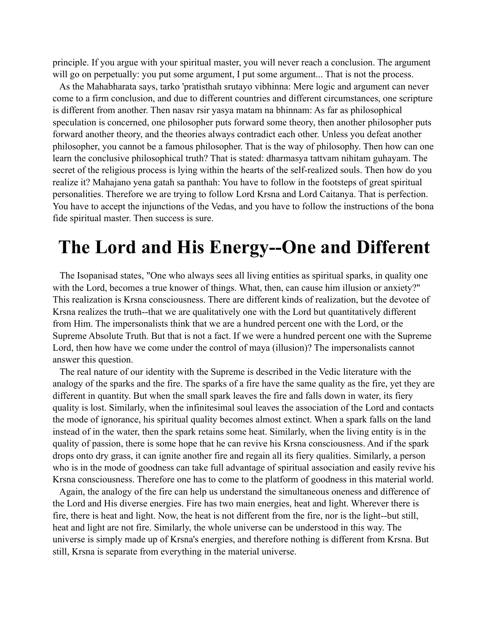principle. If you argue with your spiritual master, you will never reach a conclusion. The argument will go on perpetually: you put some argument, I put some argument... That is not the process.

 As the Mahabharata says, tarko 'pratisthah srutayo vibhinna: Mere logic and argument can never come to a firm conclusion, and due to different countries and different circumstances, one scripture is different from another. Then nasav rsir yasya matam na bhinnam: As far as philosophical speculation is concerned, one philosopher puts forward some theory, then another philosopher puts forward another theory, and the theories always contradict each other. Unless you defeat another philosopher, you cannot be a famous philosopher. That is the way of philosophy. Then how can one learn the conclusive philosophical truth? That is stated: dharmasya tattvam nihitam guhayam. The secret of the religious process is lying within the hearts of the self-realized souls. Then how do you realize it? Mahajano yena gatah sa panthah: You have to follow in the footsteps of great spiritual personalities. Therefore we are trying to follow Lord Krsna and Lord Caitanya. That is perfection. You have to accept the injunctions of the Vedas, and you have to follow the instructions of the bona fide spiritual master. Then success is sure.

## **The Lord and His Energy--One and Different**

 The Isopanisad states, "One who always sees all living entities as spiritual sparks, in quality one with the Lord, becomes a true knower of things. What, then, can cause him illusion or anxiety?" This realization is Krsna consciousness. There are different kinds of realization, but the devotee of Krsna realizes the truth--that we are qualitatively one with the Lord but quantitatively different from Him. The impersonalists think that we are a hundred percent one with the Lord, or the Supreme Absolute Truth. But that is not a fact. If we were a hundred percent one with the Supreme Lord, then how have we come under the control of maya (illusion)? The impersonalists cannot answer this question.

 The real nature of our identity with the Supreme is described in the Vedic literature with the analogy of the sparks and the fire. The sparks of a fire have the same quality as the fire, yet they are different in quantity. But when the small spark leaves the fire and falls down in water, its fiery quality is lost. Similarly, when the infinitesimal soul leaves the association of the Lord and contacts the mode of ignorance, his spiritual quality becomes almost extinct. When a spark falls on the land instead of in the water, then the spark retains some heat. Similarly, when the living entity is in the quality of passion, there is some hope that he can revive his Krsna consciousness. And if the spark drops onto dry grass, it can ignite another fire and regain all its fiery qualities. Similarly, a person who is in the mode of goodness can take full advantage of spiritual association and easily revive his Krsna consciousness. Therefore one has to come to the platform of goodness in this material world.

 Again, the analogy of the fire can help us understand the simultaneous oneness and difference of the Lord and His diverse energies. Fire has two main energies, heat and light. Wherever there is fire, there is heat and light. Now, the heat is not different from the fire, nor is the light--but still, heat and light are not fire. Similarly, the whole universe can be understood in this way. The universe is simply made up of Krsna's energies, and therefore nothing is different from Krsna. But still, Krsna is separate from everything in the material universe.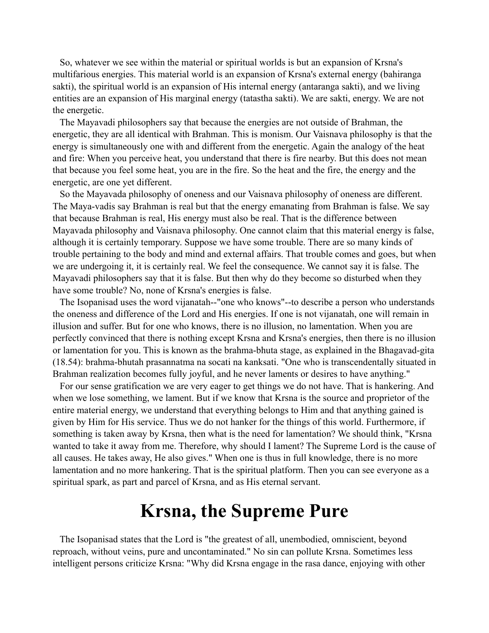So, whatever we see within the material or spiritual worlds is but an expansion of Krsna's multifarious energies. This material world is an expansion of Krsna's external energy (bahiranga sakti), the spiritual world is an expansion of His internal energy (antaranga sakti), and we living entities are an expansion of His marginal energy (tatastha sakti). We are sakti, energy. We are not the energetic.

 The Mayavadi philosophers say that because the energies are not outside of Brahman, the energetic, they are all identical with Brahman. This is monism. Our Vaisnava philosophy is that the energy is simultaneously one with and different from the energetic. Again the analogy of the heat and fire: When you perceive heat, you understand that there is fire nearby. But this does not mean that because you feel some heat, you are in the fire. So the heat and the fire, the energy and the energetic, are one yet different.

 So the Mayavada philosophy of oneness and our Vaisnava philosophy of oneness are different. The Maya-vadis say Brahman is real but that the energy emanating from Brahman is false. We say that because Brahman is real, His energy must also be real. That is the difference between Mayavada philosophy and Vaisnava philosophy. One cannot claim that this material energy is false, although it is certainly temporary. Suppose we have some trouble. There are so many kinds of trouble pertaining to the body and mind and external affairs. That trouble comes and goes, but when we are undergoing it, it is certainly real. We feel the consequence. We cannot say it is false. The Mayavadi philosophers say that it is false. But then why do they become so disturbed when they have some trouble? No, none of Krsna's energies is false.

 The Isopanisad uses the word vijanatah--"one who knows"--to describe a person who understands the oneness and difference of the Lord and His energies. If one is not vijanatah, one will remain in illusion and suffer. But for one who knows, there is no illusion, no lamentation. When you are perfectly convinced that there is nothing except Krsna and Krsna's energies, then there is no illusion or lamentation for you. This is known as the brahma-bhuta stage, as explained in the Bhagavad-gita (18.54): brahma-bhutah prasannatma na socati na kanksati. "One who is transcendentally situated in Brahman realization becomes fully joyful, and he never laments or desires to have anything."

 For our sense gratification we are very eager to get things we do not have. That is hankering. And when we lose something, we lament. But if we know that Krsna is the source and proprietor of the entire material energy, we understand that everything belongs to Him and that anything gained is given by Him for His service. Thus we do not hanker for the things of this world. Furthermore, if something is taken away by Krsna, then what is the need for lamentation? We should think, "Krsna wanted to take it away from me. Therefore, why should I lament? The Supreme Lord is the cause of all causes. He takes away, He also gives." When one is thus in full knowledge, there is no more lamentation and no more hankering. That is the spiritual platform. Then you can see everyone as a spiritual spark, as part and parcel of Krsna, and as His eternal servant.

### **Krsna, the Supreme Pure**

 The Isopanisad states that the Lord is "the greatest of all, unembodied, omniscient, beyond reproach, without veins, pure and uncontaminated." No sin can pollute Krsna. Sometimes less intelligent persons criticize Krsna: "Why did Krsna engage in the rasa dance, enjoying with other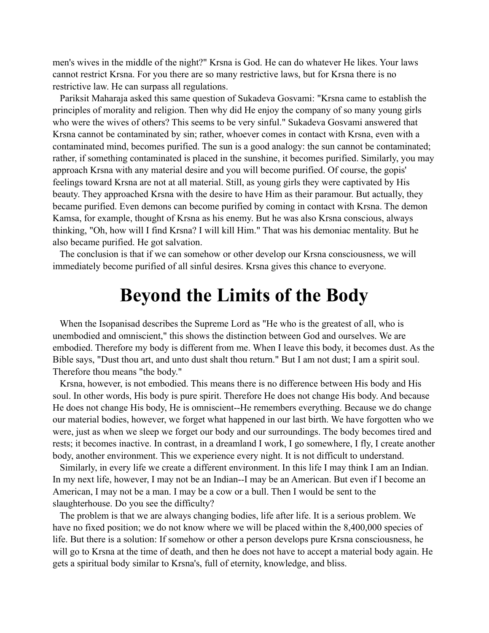men's wives in the middle of the night?" Krsna is God. He can do whatever He likes. Your laws cannot restrict Krsna. For you there are so many restrictive laws, but for Krsna there is no restrictive law. He can surpass all regulations.

 Pariksit Maharaja asked this same question of Sukadeva Gosvami: "Krsna came to establish the principles of morality and religion. Then why did He enjoy the company of so many young girls who were the wives of others? This seems to be very sinful." Sukadeva Gosvami answered that Krsna cannot be contaminated by sin; rather, whoever comes in contact with Krsna, even with a contaminated mind, becomes purified. The sun is a good analogy: the sun cannot be contaminated; rather, if something contaminated is placed in the sunshine, it becomes purified. Similarly, you may approach Krsna with any material desire and you will become purified. Of course, the gopis' feelings toward Krsna are not at all material. Still, as young girls they were captivated by His beauty. They approached Krsna with the desire to have Him as their paramour. But actually, they became purified. Even demons can become purified by coming in contact with Krsna. The demon Kamsa, for example, thought of Krsna as his enemy. But he was also Krsna conscious, always thinking, "Oh, how will I find Krsna? I will kill Him." That was his demoniac mentality. But he also became purified. He got salvation.

 The conclusion is that if we can somehow or other develop our Krsna consciousness, we will immediately become purified of all sinful desires. Krsna gives this chance to everyone.

### **Beyond the Limits of the Body**

 When the Isopanisad describes the Supreme Lord as "He who is the greatest of all, who is unembodied and omniscient," this shows the distinction between God and ourselves. We are embodied. Therefore my body is different from me. When I leave this body, it becomes dust. As the Bible says, "Dust thou art, and unto dust shalt thou return." But I am not dust; I am a spirit soul. Therefore thou means "the body."

 Krsna, however, is not embodied. This means there is no difference between His body and His soul. In other words, His body is pure spirit. Therefore He does not change His body. And because He does not change His body, He is omniscient--He remembers everything. Because we do change our material bodies, however, we forget what happened in our last birth. We have forgotten who we were, just as when we sleep we forget our body and our surroundings. The body becomes tired and rests; it becomes inactive. In contrast, in a dreamland I work, I go somewhere, I fly, I create another body, another environment. This we experience every night. It is not difficult to understand.

 Similarly, in every life we create a different environment. In this life I may think I am an Indian. In my next life, however, I may not be an Indian--I may be an American. But even if I become an American, I may not be a man. I may be a cow or a bull. Then I would be sent to the slaughterhouse. Do you see the difficulty?

 The problem is that we are always changing bodies, life after life. It is a serious problem. We have no fixed position; we do not know where we will be placed within the 8,400,000 species of life. But there is a solution: If somehow or other a person develops pure Krsna consciousness, he will go to Krsna at the time of death, and then he does not have to accept a material body again. He gets a spiritual body similar to Krsna's, full of eternity, knowledge, and bliss.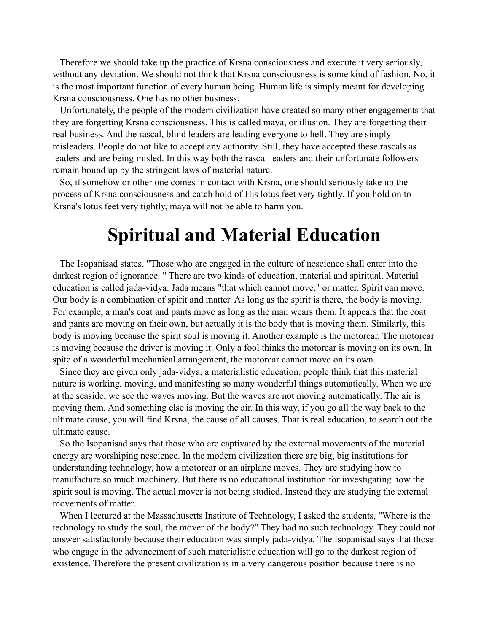Therefore we should take up the practice of Krsna consciousness and execute it very seriously, without any deviation. We should not think that Krsna consciousness is some kind of fashion. No, it is the most important function of every human being. Human life is simply meant for developing Krsna consciousness. One has no other business.

 Unfortunately, the people of the modern civilization have created so many other engagements that they are forgetting Krsna consciousness. This is called maya, or illusion. They are forgetting their real business. And the rascal, blind leaders are leading everyone to hell. They are simply misleaders. People do not like to accept any authority. Still, they have accepted these rascals as leaders and are being misled. In this way both the rascal leaders and their unfortunate followers remain bound up by the stringent laws of material nature.

 So, if somehow or other one comes in contact with Krsna, one should seriously take up the process of Krsna consciousness and catch hold of His lotus feet very tightly. If you hold on to Krsna's lotus feet very tightly, maya will not be able to harm you.

## **Spiritual and Material Education**

 The Isopanisad states, "Those who are engaged in the culture of nescience shall enter into the darkest region of ignorance. " There are two kinds of education, material and spiritual. Material education is called jada-vidya. Jada means "that which cannot move," or matter. Spirit can move. Our body is a combination of spirit and matter. As long as the spirit is there, the body is moving. For example, a man's coat and pants move as long as the man wears them. It appears that the coat and pants are moving on their own, but actually it is the body that is moving them. Similarly, this body is moving because the spirit soul is moving it. Another example is the motorcar. The motorcar is moving because the driver is moving it. Only a fool thinks the motorcar is moving on its own. In spite of a wonderful mechanical arrangement, the motorcar cannot move on its own.

 Since they are given only jada-vidya, a materialistic education, people think that this material nature is working, moving, and manifesting so many wonderful things automatically. When we are at the seaside, we see the waves moving. But the waves are not moving automatically. The air is moving them. And something else is moving the air. In this way, if you go all the way back to the ultimate cause, you will find Krsna, the cause of all causes. That is real education, to search out the ultimate cause.

 So the Isopanisad says that those who are captivated by the external movements of the material energy are worshiping nescience. In the modern civilization there are big, big institutions for understanding technology, how a motorcar or an airplane moves. They are studying how to manufacture so much machinery. But there is no educational institution for investigating how the spirit soul is moving. The actual mover is not being studied. Instead they are studying the external movements of matter.

 When I lectured at the Massachusetts Institute of Technology, I asked the students, "Where is the technology to study the soul, the mover of the body?" They had no such technology. They could not answer satisfactorily because their education was simply jada-vidya. The Isopanisad says that those who engage in the advancement of such materialistic education will go to the darkest region of existence. Therefore the present civilization is in a very dangerous position because there is no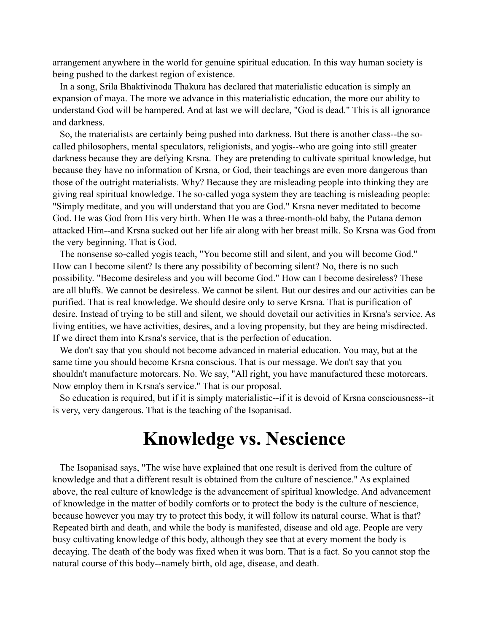arrangement anywhere in the world for genuine spiritual education. In this way human society is being pushed to the darkest region of existence.

 In a song, Srila Bhaktivinoda Thakura has declared that materialistic education is simply an expansion of maya. The more we advance in this materialistic education, the more our ability to understand God will be hampered. And at last we will declare, "God is dead." This is all ignorance and darkness.

 So, the materialists are certainly being pushed into darkness. But there is another class--the socalled philosophers, mental speculators, religionists, and yogis--who are going into still greater darkness because they are defying Krsna. They are pretending to cultivate spiritual knowledge, but because they have no information of Krsna, or God, their teachings are even more dangerous than those of the outright materialists. Why? Because they are misleading people into thinking they are giving real spiritual knowledge. The so-called yoga system they are teaching is misleading people: "Simply meditate, and you will understand that you are God." Krsna never meditated to become God. He was God from His very birth. When He was a three-month-old baby, the Putana demon attacked Him--and Krsna sucked out her life air along with her breast milk. So Krsna was God from the very beginning. That is God.

 The nonsense so-called yogis teach, "You become still and silent, and you will become God." How can I become silent? Is there any possibility of becoming silent? No, there is no such possibility. "Become desireless and you will become God." How can I become desireless? These are all bluffs. We cannot be desireless. We cannot be silent. But our desires and our activities can be purified. That is real knowledge. We should desire only to serve Krsna. That is purification of desire. Instead of trying to be still and silent, we should dovetail our activities in Krsna's service. As living entities, we have activities, desires, and a loving propensity, but they are being misdirected. If we direct them into Krsna's service, that is the perfection of education.

 We don't say that you should not become advanced in material education. You may, but at the same time you should become Krsna conscious. That is our message. We don't say that you shouldn't manufacture motorcars. No. We say, "All right, you have manufactured these motorcars. Now employ them in Krsna's service." That is our proposal.

 So education is required, but if it is simply materialistic--if it is devoid of Krsna consciousness--it is very, very dangerous. That is the teaching of the Isopanisad.

#### **Knowledge vs. Nescience**

 The Isopanisad says, "The wise have explained that one result is derived from the culture of knowledge and that a different result is obtained from the culture of nescience." As explained above, the real culture of knowledge is the advancement of spiritual knowledge. And advancement of knowledge in the matter of bodily comforts or to protect the body is the culture of nescience, because however you may try to protect this body, it will follow its natural course. What is that? Repeated birth and death, and while the body is manifested, disease and old age. People are very busy cultivating knowledge of this body, although they see that at every moment the body is decaying. The death of the body was fixed when it was born. That is a fact. So you cannot stop the natural course of this body--namely birth, old age, disease, and death.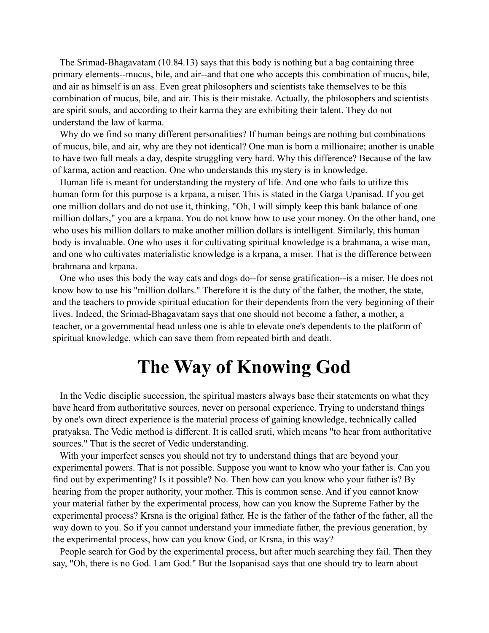The Srimad-Bhagavatam (10.84.13) says that this body is nothing but a bag containing three primary elements--mucus, bile, and air--and that one who accepts this combination of mucus, bile, and air as himself is an ass. Even great philosophers and scientists take themselves to be this combination of mucus, bile, and air. This is their mistake. Actually, the philosophers and scientists are spirit souls, and according to their karma they are exhibiting their talent. They do not understand the law of karma.

 Why do we find so many different personalities? If human beings are nothing but combinations of mucus, bile, and air, why are they not identical? One man is born a millionaire; another is unable to have two full meals a day, despite struggling very hard. Why this difference? Because of the law of karma, action and reaction. One who understands this mystery is in knowledge.

 Human life is meant for understanding the mystery of life. And one who fails to utilize this human form for this purpose is a krpana, a miser. This is stated in the Garga Upanisad. If you get one million dollars and do not use it, thinking, "Oh, I will simply keep this bank balance of one million dollars," you are a krpana. You do not know how to use your money. On the other hand, one who uses his million dollars to make another million dollars is intelligent. Similarly, this human body is invaluable. One who uses it for cultivating spiritual knowledge is a brahmana, a wise man, and one who cultivates materialistic knowledge is a krpana, a miser. That is the difference between brahmana and krpana.

 One who uses this body the way cats and dogs do--for sense gratification--is a miser. He does not know how to use his "million dollars." Therefore it is the duty of the father, the mother, the state, and the teachers to provide spiritual education for their dependents from the very beginning of their lives. Indeed, the Srimad-Bhagavatam says that one should not become a father, a mother, a teacher, or a governmental head unless one is able to elevate one's dependents to the platform of spiritual knowledge, which can save them from repeated birth and death.

## **The Way of Knowing God**

 In the Vedic disciplic succession, the spiritual masters always base their statements on what they have heard from authoritative sources, never on personal experience. Trying to understand things by one's own direct experience is the material process of gaining knowledge, technically called pratyaksa. The Vedic method is different. It is called sruti, which means "to hear from authoritative sources." That is the secret of Vedic understanding.

 With your imperfect senses you should not try to understand things that are beyond your experimental powers. That is not possible. Suppose you want to know who your father is. Can you find out by experimenting? Is it possible? No. Then how can you know who your father is? By hearing from the proper authority, your mother. This is common sense. And if you cannot know your material father by the experimental process, how can you know the Supreme Father by the experimental process? Krsna is the original father. He is the father of the father of the father, all the way down to you. So if you cannot understand your immediate father, the previous generation, by the experimental process, how can you know God, or Krsna, in this way?

 People search for God by the experimental process, but after much searching they fail. Then they say, "Oh, there is no God. I am God." But the Isopanisad says that one should try to learn about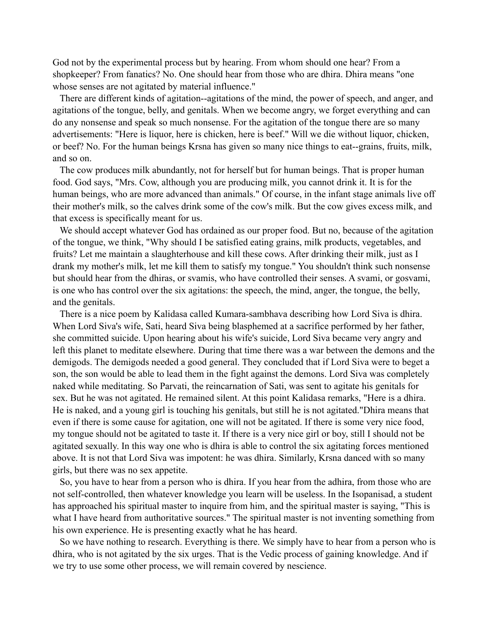God not by the experimental process but by hearing. From whom should one hear? From a shopkeeper? From fanatics? No. One should hear from those who are dhira. Dhira means "one whose senses are not agitated by material influence."

 There are different kinds of agitation--agitations of the mind, the power of speech, and anger, and agitations of the tongue, belly, and genitals. When we become angry, we forget everything and can do any nonsense and speak so much nonsense. For the agitation of the tongue there are so many advertisements: "Here is liquor, here is chicken, here is beef." Will we die without liquor, chicken, or beef? No. For the human beings Krsna has given so many nice things to eat--grains, fruits, milk, and so on.

 The cow produces milk abundantly, not for herself but for human beings. That is proper human food. God says, "Mrs. Cow, although you are producing milk, you cannot drink it. It is for the human beings, who are more advanced than animals." Of course, in the infant stage animals live off their mother's milk, so the calves drink some of the cow's milk. But the cow gives excess milk, and that excess is specifically meant for us.

 We should accept whatever God has ordained as our proper food. But no, because of the agitation of the tongue, we think, "Why should I be satisfied eating grains, milk products, vegetables, and fruits? Let me maintain a slaughterhouse and kill these cows. After drinking their milk, just as I drank my mother's milk, let me kill them to satisfy my tongue." You shouldn't think such nonsense but should hear from the dhiras, or svamis, who have controlled their senses. A svami, or gosvami, is one who has control over the six agitations: the speech, the mind, anger, the tongue, the belly, and the genitals.

 There is a nice poem by Kalidasa called Kumara-sambhava describing how Lord Siva is dhira. When Lord Siva's wife, Sati, heard Siva being blasphemed at a sacrifice performed by her father, she committed suicide. Upon hearing about his wife's suicide, Lord Siva became very angry and left this planet to meditate elsewhere. During that time there was a war between the demons and the demigods. The demigods needed a good general. They concluded that if Lord Siva were to beget a son, the son would be able to lead them in the fight against the demons. Lord Siva was completely naked while meditating. So Parvati, the reincarnation of Sati, was sent to agitate his genitals for sex. But he was not agitated. He remained silent. At this point Kalidasa remarks, "Here is a dhira. He is naked, and a young girl is touching his genitals, but still he is not agitated."Dhira means that even if there is some cause for agitation, one will not be agitated. If there is some very nice food, my tongue should not be agitated to taste it. If there is a very nice girl or boy, still I should not be agitated sexually. In this way one who is dhira is able to control the six agitating forces mentioned above. It is not that Lord Siva was impotent: he was dhira. Similarly, Krsna danced with so many girls, but there was no sex appetite.

 So, you have to hear from a person who is dhira. If you hear from the adhira, from those who are not self-controlled, then whatever knowledge you learn will be useless. In the Isopanisad, a student has approached his spiritual master to inquire from him, and the spiritual master is saying, "This is what I have heard from authoritative sources." The spiritual master is not inventing something from his own experience. He is presenting exactly what he has heard.

 So we have nothing to research. Everything is there. We simply have to hear from a person who is dhira, who is not agitated by the six urges. That is the Vedic process of gaining knowledge. And if we try to use some other process, we will remain covered by nescience.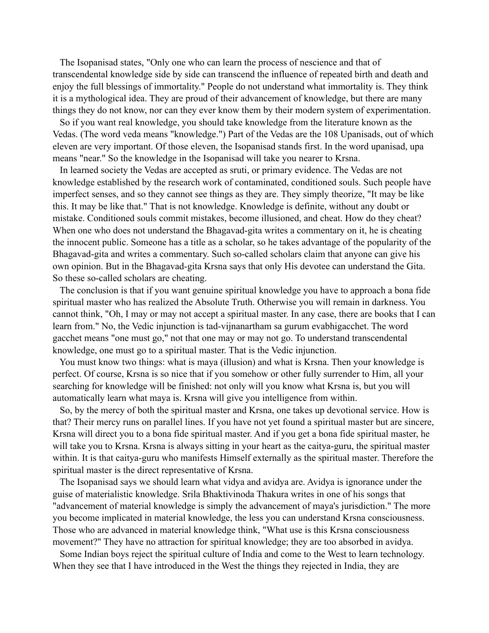The Isopanisad states, "Only one who can learn the process of nescience and that of transcendental knowledge side by side can transcend the influence of repeated birth and death and enjoy the full blessings of immortality." People do not understand what immortality is. They think it is a mythological idea. They are proud of their advancement of knowledge, but there are many things they do not know, nor can they ever know them by their modern system of experimentation.

 So if you want real knowledge, you should take knowledge from the literature known as the Vedas. (The word veda means "knowledge.") Part of the Vedas are the 108 Upanisads, out of which eleven are very important. Of those eleven, the Isopanisad stands first. In the word upanisad, upa means "near." So the knowledge in the Isopanisad will take you nearer to Krsna.

 In learned society the Vedas are accepted as sruti, or primary evidence. The Vedas are not knowledge established by the research work of contaminated, conditioned souls. Such people have imperfect senses, and so they cannot see things as they are. They simply theorize, "It may be like this. It may be like that." That is not knowledge. Knowledge is definite, without any doubt or mistake. Conditioned souls commit mistakes, become illusioned, and cheat. How do they cheat? When one who does not understand the Bhagavad-gita writes a commentary on it, he is cheating the innocent public. Someone has a title as a scholar, so he takes advantage of the popularity of the Bhagavad-gita and writes a commentary. Such so-called scholars claim that anyone can give his own opinion. But in the Bhagavad-gita Krsna says that only His devotee can understand the Gita. So these so-called scholars are cheating.

 The conclusion is that if you want genuine spiritual knowledge you have to approach a bona fide spiritual master who has realized the Absolute Truth. Otherwise you will remain in darkness. You cannot think, "Oh, I may or may not accept a spiritual master. In any case, there are books that I can learn from." No, the Vedic injunction is tad-vijnanartham sa gurum evabhigacchet. The word gacchet means "one must go," not that one may or may not go. To understand transcendental knowledge, one must go to a spiritual master. That is the Vedic injunction.

 You must know two things: what is maya (illusion) and what is Krsna. Then your knowledge is perfect. Of course, Krsna is so nice that if you somehow or other fully surrender to Him, all your searching for knowledge will be finished: not only will you know what Krsna is, but you will automatically learn what maya is. Krsna will give you intelligence from within.

 So, by the mercy of both the spiritual master and Krsna, one takes up devotional service. How is that? Their mercy runs on parallel lines. If you have not yet found a spiritual master but are sincere, Krsna will direct you to a bona fide spiritual master. And if you get a bona fide spiritual master, he will take you to Krsna. Krsna is always sitting in your heart as the caitya-guru, the spiritual master within. It is that caitya-guru who manifests Himself externally as the spiritual master. Therefore the spiritual master is the direct representative of Krsna.

 The Isopanisad says we should learn what vidya and avidya are. Avidya is ignorance under the guise of materialistic knowledge. Srila Bhaktivinoda Thakura writes in one of his songs that "advancement of material knowledge is simply the advancement of maya's jurisdiction." The more you become implicated in material knowledge, the less you can understand Krsna consciousness. Those who are advanced in material knowledge think, "What use is this Krsna consciousness movement?" They have no attraction for spiritual knowledge; they are too absorbed in avidya.

 Some Indian boys reject the spiritual culture of India and come to the West to learn technology. When they see that I have introduced in the West the things they rejected in India, they are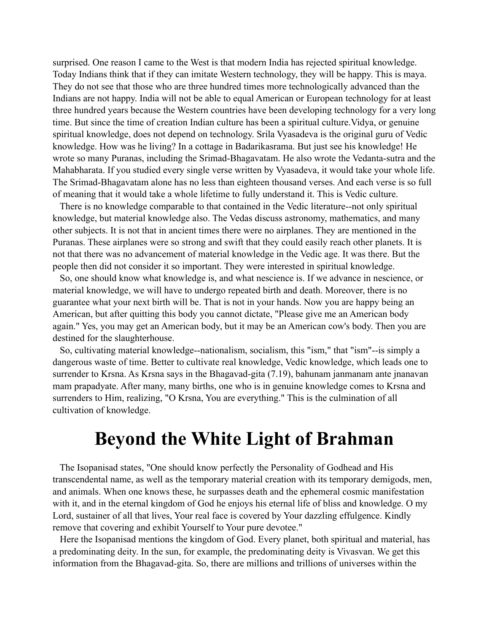surprised. One reason I came to the West is that modern India has rejected spiritual knowledge. Today Indians think that if they can imitate Western technology, they will be happy. This is maya. They do not see that those who are three hundred times more technologically advanced than the Indians are not happy. India will not be able to equal American or European technology for at least three hundred years because the Western countries have been developing technology for a very long time. But since the time of creation Indian culture has been a spiritual culture.Vidya, or genuine spiritual knowledge, does not depend on technology. Srila Vyasadeva is the original guru of Vedic knowledge. How was he living? In a cottage in Badarikasrama. But just see his knowledge! He wrote so many Puranas, including the Srimad-Bhagavatam. He also wrote the Vedanta-sutra and the Mahabharata. If you studied every single verse written by Vyasadeva, it would take your whole life. The Srimad-Bhagavatam alone has no less than eighteen thousand verses. And each verse is so full of meaning that it would take a whole lifetime to fully understand it. This is Vedic culture.

 There is no knowledge comparable to that contained in the Vedic literature--not only spiritual knowledge, but material knowledge also. The Vedas discuss astronomy, mathematics, and many other subjects. It is not that in ancient times there were no airplanes. They are mentioned in the Puranas. These airplanes were so strong and swift that they could easily reach other planets. It is not that there was no advancement of material knowledge in the Vedic age. It was there. But the people then did not consider it so important. They were interested in spiritual knowledge.

 So, one should know what knowledge is, and what nescience is. If we advance in nescience, or material knowledge, we will have to undergo repeated birth and death. Moreover, there is no guarantee what your next birth will be. That is not in your hands. Now you are happy being an American, but after quitting this body you cannot dictate, "Please give me an American body again." Yes, you may get an American body, but it may be an American cow's body. Then you are destined for the slaughterhouse.

 So, cultivating material knowledge--nationalism, socialism, this "ism," that "ism"--is simply a dangerous waste of time. Better to cultivate real knowledge, Vedic knowledge, which leads one to surrender to Krsna. As Krsna says in the Bhagavad-gita (7.19), bahunam janmanam ante jnanavan mam prapadyate. After many, many births, one who is in genuine knowledge comes to Krsna and surrenders to Him, realizing, "O Krsna, You are everything." This is the culmination of all cultivation of knowledge.

#### **Beyond the White Light of Brahman**

 The Isopanisad states, "One should know perfectly the Personality of Godhead and His transcendental name, as well as the temporary material creation with its temporary demigods, men, and animals. When one knows these, he surpasses death and the ephemeral cosmic manifestation with it, and in the eternal kingdom of God he enjoys his eternal life of bliss and knowledge. O my Lord, sustainer of all that lives, Your real face is covered by Your dazzling effulgence. Kindly remove that covering and exhibit Yourself to Your pure devotee."

 Here the Isopanisad mentions the kingdom of God. Every planet, both spiritual and material, has a predominating deity. In the sun, for example, the predominating deity is Vivasvan. We get this information from the Bhagavad-gita. So, there are millions and trillions of universes within the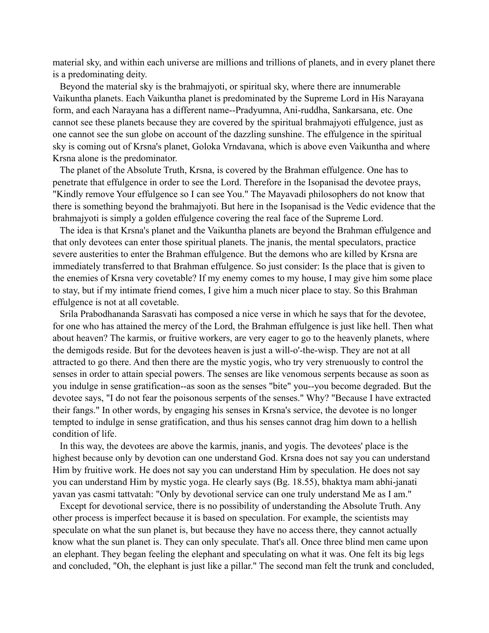material sky, and within each universe are millions and trillions of planets, and in every planet there is a predominating deity.

 Beyond the material sky is the brahmajyoti, or spiritual sky, where there are innumerable Vaikuntha planets. Each Vaikuntha planet is predominated by the Supreme Lord in His Narayana form, and each Narayana has a different name--Pradyumna, Ani-ruddha, Sankarsana, etc. One cannot see these planets because they are covered by the spiritual brahmajyoti effulgence, just as one cannot see the sun globe on account of the dazzling sunshine. The effulgence in the spiritual sky is coming out of Krsna's planet, Goloka Vrndavana, which is above even Vaikuntha and where Krsna alone is the predominator.

 The planet of the Absolute Truth, Krsna, is covered by the Brahman effulgence. One has to penetrate that effulgence in order to see the Lord. Therefore in the Isopanisad the devotee prays, "Kindly remove Your effulgence so I can see You." The Mayavadi philosophers do not know that there is something beyond the brahmajyoti. But here in the Isopanisad is the Vedic evidence that the brahmajyoti is simply a golden effulgence covering the real face of the Supreme Lord.

 The idea is that Krsna's planet and the Vaikuntha planets are beyond the Brahman effulgence and that only devotees can enter those spiritual planets. The jnanis, the mental speculators, practice severe austerities to enter the Brahman effulgence. But the demons who are killed by Krsna are immediately transferred to that Brahman effulgence. So just consider: Is the place that is given to the enemies of Krsna very covetable? If my enemy comes to my house, I may give him some place to stay, but if my intimate friend comes, I give him a much nicer place to stay. So this Brahman effulgence is not at all covetable.

 Srila Prabodhananda Sarasvati has composed a nice verse in which he says that for the devotee, for one who has attained the mercy of the Lord, the Brahman effulgence is just like hell. Then what about heaven? The karmis, or fruitive workers, are very eager to go to the heavenly planets, where the demigods reside. But for the devotees heaven is just a will-o'-the-wisp. They are not at all attracted to go there. And then there are the mystic yogis, who try very strenuously to control the senses in order to attain special powers. The senses are like venomous serpents because as soon as you indulge in sense gratification--as soon as the senses "bite" you--you become degraded. But the devotee says, "I do not fear the poisonous serpents of the senses." Why? "Because I have extracted their fangs." In other words, by engaging his senses in Krsna's service, the devotee is no longer tempted to indulge in sense gratification, and thus his senses cannot drag him down to a hellish condition of life.

 In this way, the devotees are above the karmis, jnanis, and yogis. The devotees' place is the highest because only by devotion can one understand God. Krsna does not say you can understand Him by fruitive work. He does not say you can understand Him by speculation. He does not say you can understand Him by mystic yoga. He clearly says (Bg. 18.55), bhaktya mam abhi-janati yavan yas casmi tattvatah: "Only by devotional service can one truly understand Me as I am."

 Except for devotional service, there is no possibility of understanding the Absolute Truth. Any other process is imperfect because it is based on speculation. For example, the scientists may speculate on what the sun planet is, but because they have no access there, they cannot actually know what the sun planet is. They can only speculate. That's all. Once three blind men came upon an elephant. They began feeling the elephant and speculating on what it was. One felt its big legs and concluded, "Oh, the elephant is just like a pillar." The second man felt the trunk and concluded,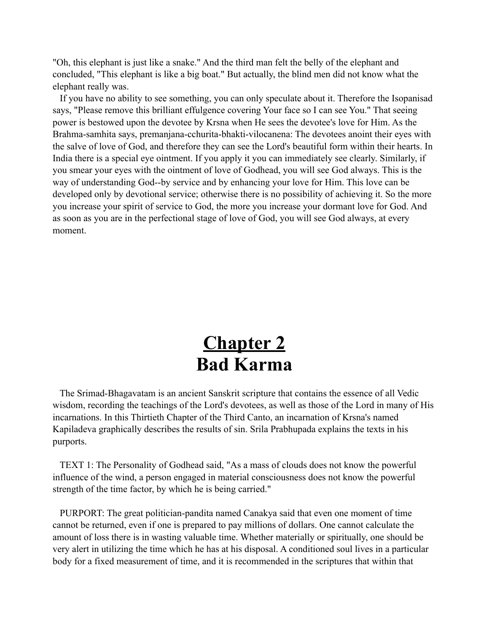"Oh, this elephant is just like a snake." And the third man felt the belly of the elephant and concluded, "This elephant is like a big boat." But actually, the blind men did not know what the elephant really was.

 If you have no ability to see something, you can only speculate about it. Therefore the Isopanisad says, "Please remove this brilliant effulgence covering Your face so I can see You." That seeing power is bestowed upon the devotee by Krsna when He sees the devotee's love for Him. As the Brahma-samhita says, premanjana-cchurita-bhakti-vilocanena: The devotees anoint their eyes with the salve of love of God, and therefore they can see the Lord's beautiful form within their hearts. In India there is a special eye ointment. If you apply it you can immediately see clearly. Similarly, if you smear your eyes with the ointment of love of Godhead, you will see God always. This is the way of understanding God--by service and by enhancing your love for Him. This love can be developed only by devotional service; otherwise there is no possibility of achieving it. So the more you increase your spirit of service to God, the more you increase your dormant love for God. And as soon as you are in the perfectional stage of love of God, you will see God always, at every moment.

## **Chapter 2 Bad Karma**

 The Srimad-Bhagavatam is an ancient Sanskrit scripture that contains the essence of all Vedic wisdom, recording the teachings of the Lord's devotees, as well as those of the Lord in many of His incarnations. In this Thirtieth Chapter of the Third Canto, an incarnation of Krsna's named Kapiladeva graphically describes the results of sin. Srila Prabhupada explains the texts in his purports.

 TEXT 1: The Personality of Godhead said, "As a mass of clouds does not know the powerful influence of the wind, a person engaged in material consciousness does not know the powerful strength of the time factor, by which he is being carried."

 PURPORT: The great politician-pandita named Canakya said that even one moment of time cannot be returned, even if one is prepared to pay millions of dollars. One cannot calculate the amount of loss there is in wasting valuable time. Whether materially or spiritually, one should be very alert in utilizing the time which he has at his disposal. A conditioned soul lives in a particular body for a fixed measurement of time, and it is recommended in the scriptures that within that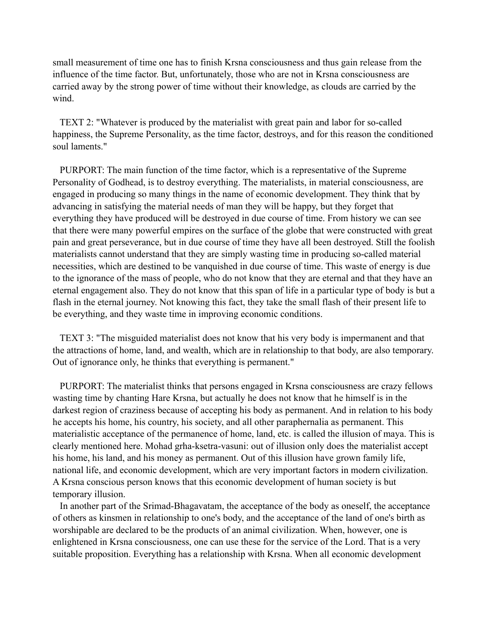small measurement of time one has to finish Krsna consciousness and thus gain release from the influence of the time factor. But, unfortunately, those who are not in Krsna consciousness are carried away by the strong power of time without their knowledge, as clouds are carried by the wind.

 TEXT 2: "Whatever is produced by the materialist with great pain and labor for so-called happiness, the Supreme Personality, as the time factor, destroys, and for this reason the conditioned soul laments."

 PURPORT: The main function of the time factor, which is a representative of the Supreme Personality of Godhead, is to destroy everything. The materialists, in material consciousness, are engaged in producing so many things in the name of economic development. They think that by advancing in satisfying the material needs of man they will be happy, but they forget that everything they have produced will be destroyed in due course of time. From history we can see that there were many powerful empires on the surface of the globe that were constructed with great pain and great perseverance, but in due course of time they have all been destroyed. Still the foolish materialists cannot understand that they are simply wasting time in producing so-called material necessities, which are destined to be vanquished in due course of time. This waste of energy is due to the ignorance of the mass of people, who do not know that they are eternal and that they have an eternal engagement also. They do not know that this span of life in a particular type of body is but a flash in the eternal journey. Not knowing this fact, they take the small flash of their present life to be everything, and they waste time in improving economic conditions.

 TEXT 3: "The misguided materialist does not know that his very body is impermanent and that the attractions of home, land, and wealth, which are in relationship to that body, are also temporary. Out of ignorance only, he thinks that everything is permanent."

 PURPORT: The materialist thinks that persons engaged in Krsna consciousness are crazy fellows wasting time by chanting Hare Krsna, but actually he does not know that he himself is in the darkest region of craziness because of accepting his body as permanent. And in relation to his body he accepts his home, his country, his society, and all other paraphernalia as permanent. This materialistic acceptance of the permanence of home, land, etc. is called the illusion of maya. This is clearly mentioned here. Mohad grha-ksetra-vasuni: out of illusion only does the materialist accept his home, his land, and his money as permanent. Out of this illusion have grown family life, national life, and economic development, which are very important factors in modern civilization. A Krsna conscious person knows that this economic development of human society is but temporary illusion.

 In another part of the Srimad-Bhagavatam, the acceptance of the body as oneself, the acceptance of others as kinsmen in relationship to one's body, and the acceptance of the land of one's birth as worshipable are declared to be the products of an animal civilization. When, however, one is enlightened in Krsna consciousness, one can use these for the service of the Lord. That is a very suitable proposition. Everything has a relationship with Krsna. When all economic development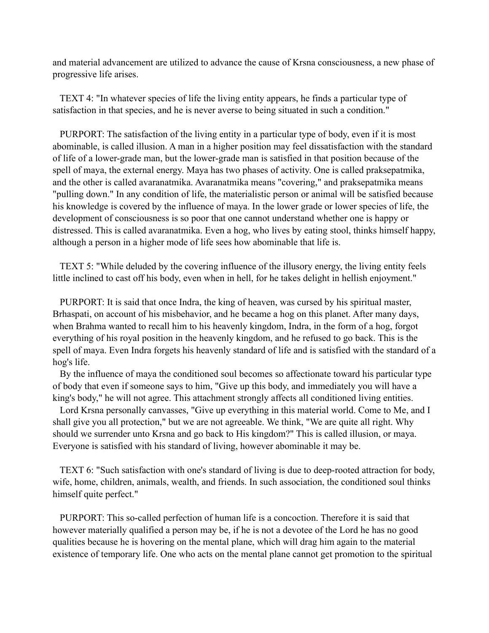and material advancement are utilized to advance the cause of Krsna consciousness, a new phase of progressive life arises.

 TEXT 4: "In whatever species of life the living entity appears, he finds a particular type of satisfaction in that species, and he is never averse to being situated in such a condition."

 PURPORT: The satisfaction of the living entity in a particular type of body, even if it is most abominable, is called illusion. A man in a higher position may feel dissatisfaction with the standard of life of a lower-grade man, but the lower-grade man is satisfied in that position because of the spell of maya, the external energy. Maya has two phases of activity. One is called praksepatmika, and the other is called avaranatmika. Avaranatmika means "covering," and praksepatmika means "pulling down." In any condition of life, the materialistic person or animal will be satisfied because his knowledge is covered by the influence of maya. In the lower grade or lower species of life, the development of consciousness is so poor that one cannot understand whether one is happy or distressed. This is called avaranatmika. Even a hog, who lives by eating stool, thinks himself happy, although a person in a higher mode of life sees how abominable that life is.

 TEXT 5: "While deluded by the covering influence of the illusory energy, the living entity feels little inclined to cast off his body, even when in hell, for he takes delight in hellish enjoyment."

 PURPORT: It is said that once Indra, the king of heaven, was cursed by his spiritual master, Brhaspati, on account of his misbehavior, and he became a hog on this planet. After many days, when Brahma wanted to recall him to his heavenly kingdom, Indra, in the form of a hog, forgot everything of his royal position in the heavenly kingdom, and he refused to go back. This is the spell of maya. Even Indra forgets his heavenly standard of life and is satisfied with the standard of a hog's life.

 By the influence of maya the conditioned soul becomes so affectionate toward his particular type of body that even if someone says to him, "Give up this body, and immediately you will have a king's body," he will not agree. This attachment strongly affects all conditioned living entities.

 Lord Krsna personally canvasses, "Give up everything in this material world. Come to Me, and I shall give you all protection," but we are not agreeable. We think, "We are quite all right. Why should we surrender unto Krsna and go back to His kingdom?" This is called illusion, or maya. Everyone is satisfied with his standard of living, however abominable it may be.

 TEXT 6: "Such satisfaction with one's standard of living is due to deep-rooted attraction for body, wife, home, children, animals, wealth, and friends. In such association, the conditioned soul thinks himself quite perfect."

 PURPORT: This so-called perfection of human life is a concoction. Therefore it is said that however materially qualified a person may be, if he is not a devotee of the Lord he has no good qualities because he is hovering on the mental plane, which will drag him again to the material existence of temporary life. One who acts on the mental plane cannot get promotion to the spiritual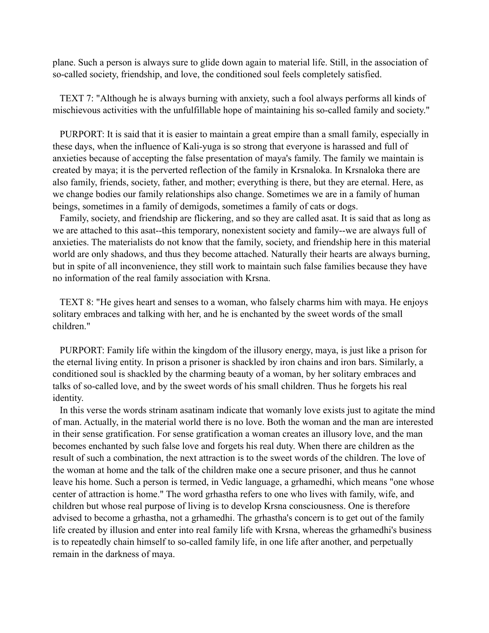plane. Such a person is always sure to glide down again to material life. Still, in the association of so-called society, friendship, and love, the conditioned soul feels completely satisfied.

 TEXT 7: "Although he is always burning with anxiety, such a fool always performs all kinds of mischievous activities with the unfulfillable hope of maintaining his so-called family and society."

 PURPORT: It is said that it is easier to maintain a great empire than a small family, especially in these days, when the influence of Kali-yuga is so strong that everyone is harassed and full of anxieties because of accepting the false presentation of maya's family. The family we maintain is created by maya; it is the perverted reflection of the family in Krsnaloka. In Krsnaloka there are also family, friends, society, father, and mother; everything is there, but they are eternal. Here, as we change bodies our family relationships also change. Sometimes we are in a family of human beings, sometimes in a family of demigods, sometimes a family of cats or dogs.

 Family, society, and friendship are flickering, and so they are called asat. It is said that as long as we are attached to this asat--this temporary, nonexistent society and family--we are always full of anxieties. The materialists do not know that the family, society, and friendship here in this material world are only shadows, and thus they become attached. Naturally their hearts are always burning, but in spite of all inconvenience, they still work to maintain such false families because they have no information of the real family association with Krsna.

 TEXT 8: "He gives heart and senses to a woman, who falsely charms him with maya. He enjoys solitary embraces and talking with her, and he is enchanted by the sweet words of the small children."

 PURPORT: Family life within the kingdom of the illusory energy, maya, is just like a prison for the eternal living entity. In prison a prisoner is shackled by iron chains and iron bars. Similarly, a conditioned soul is shackled by the charming beauty of a woman, by her solitary embraces and talks of so-called love, and by the sweet words of his small children. Thus he forgets his real identity.

 In this verse the words strinam asatinam indicate that womanly love exists just to agitate the mind of man. Actually, in the material world there is no love. Both the woman and the man are interested in their sense gratification. For sense gratification a woman creates an illusory love, and the man becomes enchanted by such false love and forgets his real duty. When there are children as the result of such a combination, the next attraction is to the sweet words of the children. The love of the woman at home and the talk of the children make one a secure prisoner, and thus he cannot leave his home. Such a person is termed, in Vedic language, a grhamedhi, which means "one whose center of attraction is home." The word grhastha refers to one who lives with family, wife, and children but whose real purpose of living is to develop Krsna consciousness. One is therefore advised to become a grhastha, not a grhamedhi. The grhastha's concern is to get out of the family life created by illusion and enter into real family life with Krsna, whereas the grhamedhi's business is to repeatedly chain himself to so-called family life, in one life after another, and perpetually remain in the darkness of maya.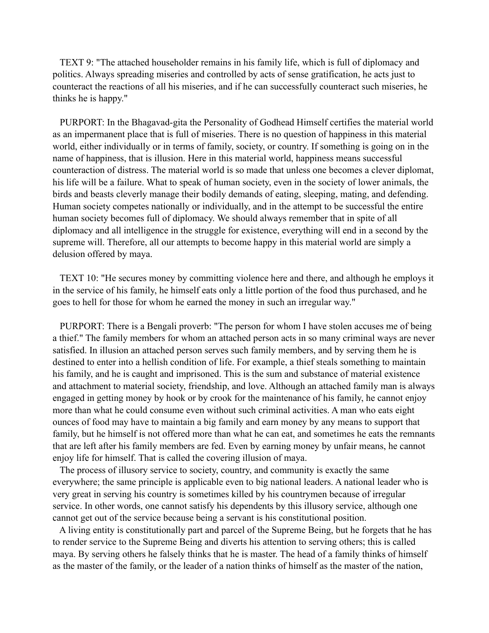TEXT 9: "The attached householder remains in his family life, which is full of diplomacy and politics. Always spreading miseries and controlled by acts of sense gratification, he acts just to counteract the reactions of all his miseries, and if he can successfully counteract such miseries, he thinks he is happy."

 PURPORT: In the Bhagavad-gita the Personality of Godhead Himself certifies the material world as an impermanent place that is full of miseries. There is no question of happiness in this material world, either individually or in terms of family, society, or country. If something is going on in the name of happiness, that is illusion. Here in this material world, happiness means successful counteraction of distress. The material world is so made that unless one becomes a clever diplomat, his life will be a failure. What to speak of human society, even in the society of lower animals, the birds and beasts cleverly manage their bodily demands of eating, sleeping, mating, and defending. Human society competes nationally or individually, and in the attempt to be successful the entire human society becomes full of diplomacy. We should always remember that in spite of all diplomacy and all intelligence in the struggle for existence, everything will end in a second by the supreme will. Therefore, all our attempts to become happy in this material world are simply a delusion offered by maya.

 TEXT 10: "He secures money by committing violence here and there, and although he employs it in the service of his family, he himself eats only a little portion of the food thus purchased, and he goes to hell for those for whom he earned the money in such an irregular way."

 PURPORT: There is a Bengali proverb: "The person for whom I have stolen accuses me of being a thief." The family members for whom an attached person acts in so many criminal ways are never satisfied. In illusion an attached person serves such family members, and by serving them he is destined to enter into a hellish condition of life. For example, a thief steals something to maintain his family, and he is caught and imprisoned. This is the sum and substance of material existence and attachment to material society, friendship, and love. Although an attached family man is always engaged in getting money by hook or by crook for the maintenance of his family, he cannot enjoy more than what he could consume even without such criminal activities. A man who eats eight ounces of food may have to maintain a big family and earn money by any means to support that family, but he himself is not offered more than what he can eat, and sometimes he eats the remnants that are left after his family members are fed. Even by earning money by unfair means, he cannot enjoy life for himself. That is called the covering illusion of maya.

 The process of illusory service to society, country, and community is exactly the same everywhere; the same principle is applicable even to big national leaders. A national leader who is very great in serving his country is sometimes killed by his countrymen because of irregular service. In other words, one cannot satisfy his dependents by this illusory service, although one cannot get out of the service because being a servant is his constitutional position.

 A living entity is constitutionally part and parcel of the Supreme Being, but he forgets that he has to render service to the Supreme Being and diverts his attention to serving others; this is called maya. By serving others he falsely thinks that he is master. The head of a family thinks of himself as the master of the family, or the leader of a nation thinks of himself as the master of the nation,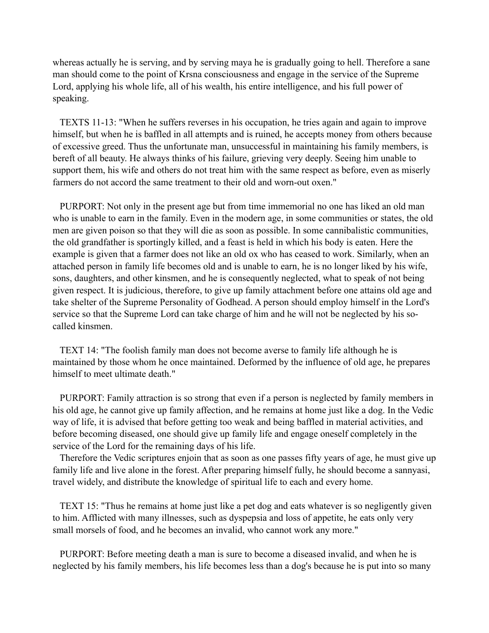whereas actually he is serving, and by serving maya he is gradually going to hell. Therefore a sane man should come to the point of Krsna consciousness and engage in the service of the Supreme Lord, applying his whole life, all of his wealth, his entire intelligence, and his full power of speaking.

 TEXTS 11-13: "When he suffers reverses in his occupation, he tries again and again to improve himself, but when he is baffled in all attempts and is ruined, he accepts money from others because of excessive greed. Thus the unfortunate man, unsuccessful in maintaining his family members, is bereft of all beauty. He always thinks of his failure, grieving very deeply. Seeing him unable to support them, his wife and others do not treat him with the same respect as before, even as miserly farmers do not accord the same treatment to their old and worn-out oxen."

 PURPORT: Not only in the present age but from time immemorial no one has liked an old man who is unable to earn in the family. Even in the modern age, in some communities or states, the old men are given poison so that they will die as soon as possible. In some cannibalistic communities, the old grandfather is sportingly killed, and a feast is held in which his body is eaten. Here the example is given that a farmer does not like an old ox who has ceased to work. Similarly, when an attached person in family life becomes old and is unable to earn, he is no longer liked by his wife, sons, daughters, and other kinsmen, and he is consequently neglected, what to speak of not being given respect. It is judicious, therefore, to give up family attachment before one attains old age and take shelter of the Supreme Personality of Godhead. A person should employ himself in the Lord's service so that the Supreme Lord can take charge of him and he will not be neglected by his socalled kinsmen.

 TEXT 14: "The foolish family man does not become averse to family life although he is maintained by those whom he once maintained. Deformed by the influence of old age, he prepares himself to meet ultimate death."

 PURPORT: Family attraction is so strong that even if a person is neglected by family members in his old age, he cannot give up family affection, and he remains at home just like a dog. In the Vedic way of life, it is advised that before getting too weak and being baffled in material activities, and before becoming diseased, one should give up family life and engage oneself completely in the service of the Lord for the remaining days of his life.

 Therefore the Vedic scriptures enjoin that as soon as one passes fifty years of age, he must give up family life and live alone in the forest. After preparing himself fully, he should become a sannyasi, travel widely, and distribute the knowledge of spiritual life to each and every home.

 TEXT 15: "Thus he remains at home just like a pet dog and eats whatever is so negligently given to him. Afflicted with many illnesses, such as dyspepsia and loss of appetite, he eats only very small morsels of food, and he becomes an invalid, who cannot work any more."

 PURPORT: Before meeting death a man is sure to become a diseased invalid, and when he is neglected by his family members, his life becomes less than a dog's because he is put into so many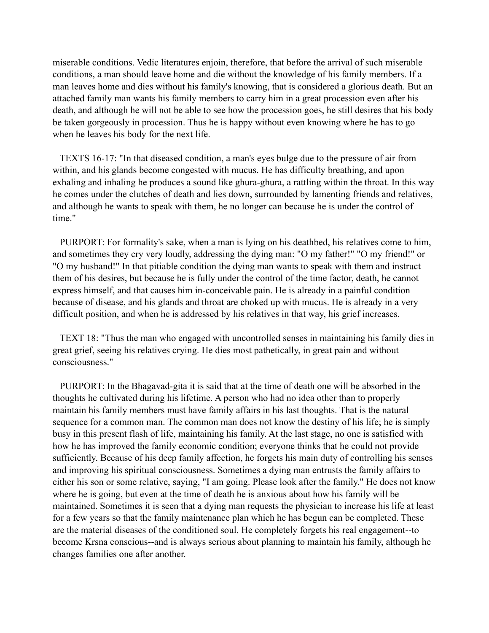miserable conditions. Vedic literatures enjoin, therefore, that before the arrival of such miserable conditions, a man should leave home and die without the knowledge of his family members. If a man leaves home and dies without his family's knowing, that is considered a glorious death. But an attached family man wants his family members to carry him in a great procession even after his death, and although he will not be able to see how the procession goes, he still desires that his body be taken gorgeously in procession. Thus he is happy without even knowing where he has to go when he leaves his body for the next life.

 TEXTS 16-17: "In that diseased condition, a man's eyes bulge due to the pressure of air from within, and his glands become congested with mucus. He has difficulty breathing, and upon exhaling and inhaling he produces a sound like ghura-ghura, a rattling within the throat. In this way he comes under the clutches of death and lies down, surrounded by lamenting friends and relatives, and although he wants to speak with them, he no longer can because he is under the control of time."

 PURPORT: For formality's sake, when a man is lying on his deathbed, his relatives come to him, and sometimes they cry very loudly, addressing the dying man: "O my father!" "O my friend!" or "O my husband!" In that pitiable condition the dying man wants to speak with them and instruct them of his desires, but because he is fully under the control of the time factor, death, he cannot express himself, and that causes him in-conceivable pain. He is already in a painful condition because of disease, and his glands and throat are choked up with mucus. He is already in a very difficult position, and when he is addressed by his relatives in that way, his grief increases.

 TEXT 18: "Thus the man who engaged with uncontrolled senses in maintaining his family dies in great grief, seeing his relatives crying. He dies most pathetically, in great pain and without consciousness."

 PURPORT: In the Bhagavad-gita it is said that at the time of death one will be absorbed in the thoughts he cultivated during his lifetime. A person who had no idea other than to properly maintain his family members must have family affairs in his last thoughts. That is the natural sequence for a common man. The common man does not know the destiny of his life; he is simply busy in this present flash of life, maintaining his family. At the last stage, no one is satisfied with how he has improved the family economic condition; everyone thinks that he could not provide sufficiently. Because of his deep family affection, he forgets his main duty of controlling his senses and improving his spiritual consciousness. Sometimes a dying man entrusts the family affairs to either his son or some relative, saying, "I am going. Please look after the family." He does not know where he is going, but even at the time of death he is anxious about how his family will be maintained. Sometimes it is seen that a dying man requests the physician to increase his life at least for a few years so that the family maintenance plan which he has begun can be completed. These are the material diseases of the conditioned soul. He completely forgets his real engagement--to become Krsna conscious--and is always serious about planning to maintain his family, although he changes families one after another.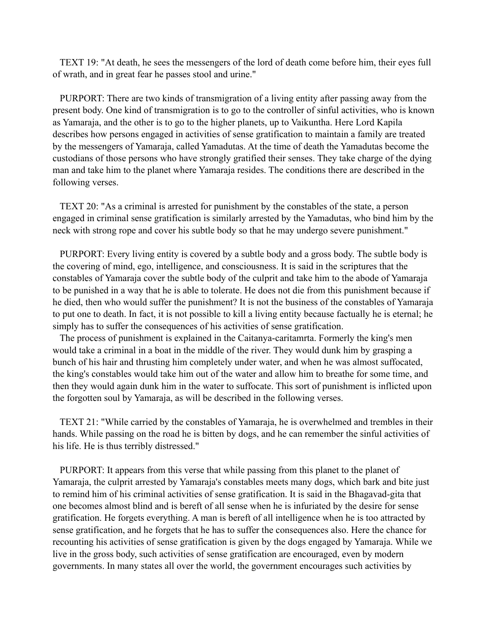TEXT 19: "At death, he sees the messengers of the lord of death come before him, their eyes full of wrath, and in great fear he passes stool and urine."

 PURPORT: There are two kinds of transmigration of a living entity after passing away from the present body. One kind of transmigration is to go to the controller of sinful activities, who is known as Yamaraja, and the other is to go to the higher planets, up to Vaikuntha. Here Lord Kapila describes how persons engaged in activities of sense gratification to maintain a family are treated by the messengers of Yamaraja, called Yamadutas. At the time of death the Yamadutas become the custodians of those persons who have strongly gratified their senses. They take charge of the dying man and take him to the planet where Yamaraja resides. The conditions there are described in the following verses.

 TEXT 20: "As a criminal is arrested for punishment by the constables of the state, a person engaged in criminal sense gratification is similarly arrested by the Yamadutas, who bind him by the neck with strong rope and cover his subtle body so that he may undergo severe punishment."

 PURPORT: Every living entity is covered by a subtle body and a gross body. The subtle body is the covering of mind, ego, intelligence, and consciousness. It is said in the scriptures that the constables of Yamaraja cover the subtle body of the culprit and take him to the abode of Yamaraja to be punished in a way that he is able to tolerate. He does not die from this punishment because if he died, then who would suffer the punishment? It is not the business of the constables of Yamaraja to put one to death. In fact, it is not possible to kill a living entity because factually he is eternal; he simply has to suffer the consequences of his activities of sense gratification.

 The process of punishment is explained in the Caitanya-caritamrta. Formerly the king's men would take a criminal in a boat in the middle of the river. They would dunk him by grasping a bunch of his hair and thrusting him completely under water, and when he was almost suffocated, the king's constables would take him out of the water and allow him to breathe for some time, and then they would again dunk him in the water to suffocate. This sort of punishment is inflicted upon the forgotten soul by Yamaraja, as will be described in the following verses.

 TEXT 21: "While carried by the constables of Yamaraja, he is overwhelmed and trembles in their hands. While passing on the road he is bitten by dogs, and he can remember the sinful activities of his life. He is thus terribly distressed."

 PURPORT: It appears from this verse that while passing from this planet to the planet of Yamaraja, the culprit arrested by Yamaraja's constables meets many dogs, which bark and bite just to remind him of his criminal activities of sense gratification. It is said in the Bhagavad-gita that one becomes almost blind and is bereft of all sense when he is infuriated by the desire for sense gratification. He forgets everything. A man is bereft of all intelligence when he is too attracted by sense gratification, and he forgets that he has to suffer the consequences also. Here the chance for recounting his activities of sense gratification is given by the dogs engaged by Yamaraja. While we live in the gross body, such activities of sense gratification are encouraged, even by modern governments. In many states all over the world, the government encourages such activities by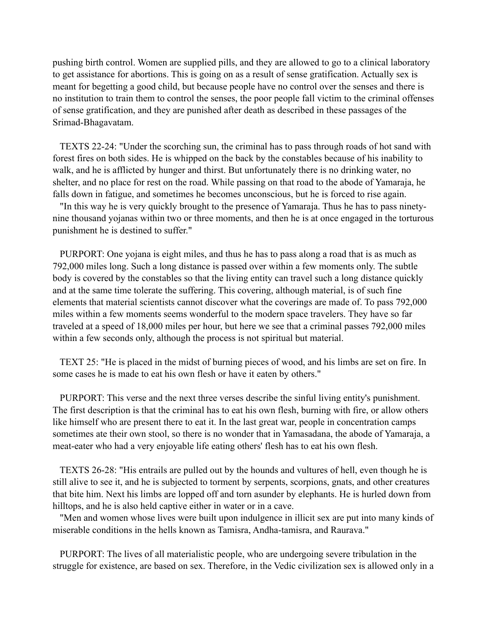pushing birth control. Women are supplied pills, and they are allowed to go to a clinical laboratory to get assistance for abortions. This is going on as a result of sense gratification. Actually sex is meant for begetting a good child, but because people have no control over the senses and there is no institution to train them to control the senses, the poor people fall victim to the criminal offenses of sense gratification, and they are punished after death as described in these passages of the Srimad-Bhagavatam.

 TEXTS 22-24: "Under the scorching sun, the criminal has to pass through roads of hot sand with forest fires on both sides. He is whipped on the back by the constables because of his inability to walk, and he is afflicted by hunger and thirst. But unfortunately there is no drinking water, no shelter, and no place for rest on the road. While passing on that road to the abode of Yamaraja, he falls down in fatigue, and sometimes he becomes unconscious, but he is forced to rise again.

 "In this way he is very quickly brought to the presence of Yamaraja. Thus he has to pass ninetynine thousand yojanas within two or three moments, and then he is at once engaged in the torturous punishment he is destined to suffer."

 PURPORT: One yojana is eight miles, and thus he has to pass along a road that is as much as 792,000 miles long. Such a long distance is passed over within a few moments only. The subtle body is covered by the constables so that the living entity can travel such a long distance quickly and at the same time tolerate the suffering. This covering, although material, is of such fine elements that material scientists cannot discover what the coverings are made of. To pass 792,000 miles within a few moments seems wonderful to the modern space travelers. They have so far traveled at a speed of 18,000 miles per hour, but here we see that a criminal passes 792,000 miles within a few seconds only, although the process is not spiritual but material.

 TEXT 25: "He is placed in the midst of burning pieces of wood, and his limbs are set on fire. In some cases he is made to eat his own flesh or have it eaten by others."

 PURPORT: This verse and the next three verses describe the sinful living entity's punishment. The first description is that the criminal has to eat his own flesh, burning with fire, or allow others like himself who are present there to eat it. In the last great war, people in concentration camps sometimes ate their own stool, so there is no wonder that in Yamasadana, the abode of Yamaraja, a meat-eater who had a very enjoyable life eating others' flesh has to eat his own flesh.

 TEXTS 26-28: "His entrails are pulled out by the hounds and vultures of hell, even though he is still alive to see it, and he is subjected to torment by serpents, scorpions, gnats, and other creatures that bite him. Next his limbs are lopped off and torn asunder by elephants. He is hurled down from hilltops, and he is also held captive either in water or in a cave.

 "Men and women whose lives were built upon indulgence in illicit sex are put into many kinds of miserable conditions in the hells known as Tamisra, Andha-tamisra, and Raurava."

 PURPORT: The lives of all materialistic people, who are undergoing severe tribulation in the struggle for existence, are based on sex. Therefore, in the Vedic civilization sex is allowed only in a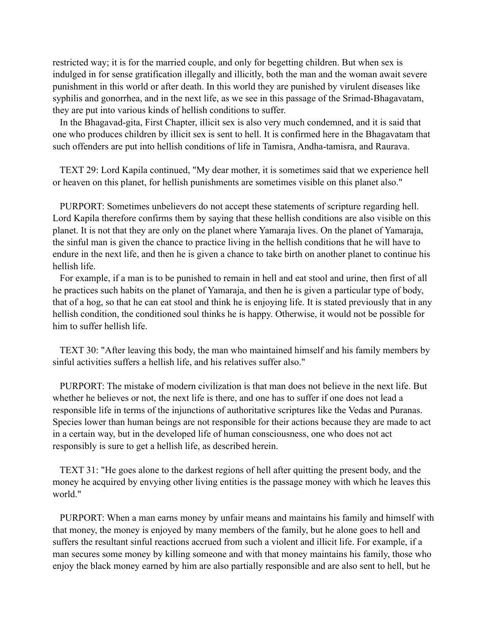restricted way; it is for the married couple, and only for begetting children. But when sex is indulged in for sense gratification illegally and illicitly, both the man and the woman await severe punishment in this world or after death. In this world they are punished by virulent diseases like syphilis and gonorrhea, and in the next life, as we see in this passage of the Srimad-Bhagavatam, they are put into various kinds of hellish conditions to suffer.

 In the Bhagavad-gita, First Chapter, illicit sex is also very much condemned, and it is said that one who produces children by illicit sex is sent to hell. It is confirmed here in the Bhagavatam that such offenders are put into hellish conditions of life in Tamisra, Andha-tamisra, and Raurava.

 TEXT 29: Lord Kapila continued, "My dear mother, it is sometimes said that we experience hell or heaven on this planet, for hellish punishments are sometimes visible on this planet also."

 PURPORT: Sometimes unbelievers do not accept these statements of scripture regarding hell. Lord Kapila therefore confirms them by saying that these hellish conditions are also visible on this planet. It is not that they are only on the planet where Yamaraja lives. On the planet of Yamaraja, the sinful man is given the chance to practice living in the hellish conditions that he will have to endure in the next life, and then he is given a chance to take birth on another planet to continue his hellish life.

 For example, if a man is to be punished to remain in hell and eat stool and urine, then first of all he practices such habits on the planet of Yamaraja, and then he is given a particular type of body, that of a hog, so that he can eat stool and think he is enjoying life. It is stated previously that in any hellish condition, the conditioned soul thinks he is happy. Otherwise, it would not be possible for him to suffer hellish life.

 TEXT 30: "After leaving this body, the man who maintained himself and his family members by sinful activities suffers a hellish life, and his relatives suffer also."

 PURPORT: The mistake of modern civilization is that man does not believe in the next life. But whether he believes or not, the next life is there, and one has to suffer if one does not lead a responsible life in terms of the injunctions of authoritative scriptures like the Vedas and Puranas. Species lower than human beings are not responsible for their actions because they are made to act in a certain way, but in the developed life of human consciousness, one who does not act responsibly is sure to get a hellish life, as described herein.

 TEXT 31: "He goes alone to the darkest regions of hell after quitting the present body, and the money he acquired by envying other living entities is the passage money with which he leaves this world."

 PURPORT: When a man earns money by unfair means and maintains his family and himself with that money, the money is enjoyed by many members of the family, but he alone goes to hell and suffers the resultant sinful reactions accrued from such a violent and illicit life. For example, if a man secures some money by killing someone and with that money maintains his family, those who enjoy the black money earned by him are also partially responsible and are also sent to hell, but he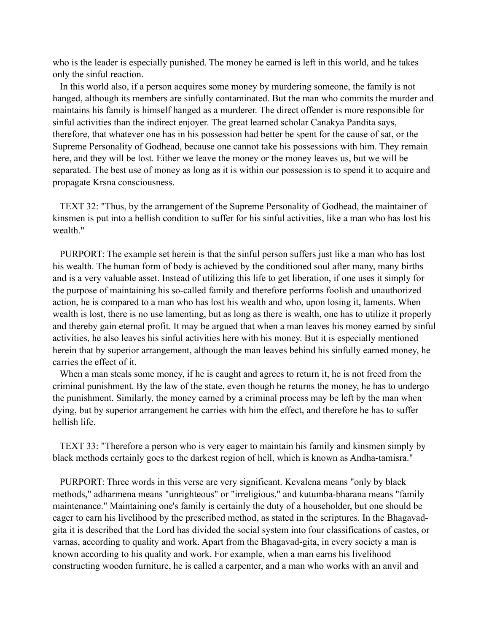who is the leader is especially punished. The money he earned is left in this world, and he takes only the sinful reaction.

 In this world also, if a person acquires some money by murdering someone, the family is not hanged, although its members are sinfully contaminated. But the man who commits the murder and maintains his family is himself hanged as a murderer. The direct offender is more responsible for sinful activities than the indirect enjoyer. The great learned scholar Canakya Pandita says, therefore, that whatever one has in his possession had better be spent for the cause of sat, or the Supreme Personality of Godhead, because one cannot take his possessions with him. They remain here, and they will be lost. Either we leave the money or the money leaves us, but we will be separated. The best use of money as long as it is within our possession is to spend it to acquire and propagate Krsna consciousness.

 TEXT 32: "Thus, by the arrangement of the Supreme Personality of Godhead, the maintainer of kinsmen is put into a hellish condition to suffer for his sinful activities, like a man who has lost his wealth "

 PURPORT: The example set herein is that the sinful person suffers just like a man who has lost his wealth. The human form of body is achieved by the conditioned soul after many, many births and is a very valuable asset. Instead of utilizing this life to get liberation, if one uses it simply for the purpose of maintaining his so-called family and therefore performs foolish and unauthorized action, he is compared to a man who has lost his wealth and who, upon losing it, laments. When wealth is lost, there is no use lamenting, but as long as there is wealth, one has to utilize it properly and thereby gain eternal profit. It may be argued that when a man leaves his money earned by sinful activities, he also leaves his sinful activities here with his money. But it is especially mentioned herein that by superior arrangement, although the man leaves behind his sinfully earned money, he carries the effect of it.

When a man steals some money, if he is caught and agrees to return it, he is not freed from the criminal punishment. By the law of the state, even though he returns the money, he has to undergo the punishment. Similarly, the money earned by a criminal process may be left by the man when dying, but by superior arrangement he carries with him the effect, and therefore he has to suffer hellish life.

 TEXT 33: "Therefore a person who is very eager to maintain his family and kinsmen simply by black methods certainly goes to the darkest region of hell, which is known as Andha-tamisra."

 PURPORT: Three words in this verse are very significant. Kevalena means "only by black methods," adharmena means "unrighteous" or "irreligious," and kutumba-bharana means "family maintenance." Maintaining one's family is certainly the duty of a householder, but one should be eager to earn his livelihood by the prescribed method, as stated in the scriptures. In the Bhagavadgita it is described that the Lord has divided the social system into four classifications of castes, or varnas, according to quality and work. Apart from the Bhagavad-gita, in every society a man is known according to his quality and work. For example, when a man earns his livelihood constructing wooden furniture, he is called a carpenter, and a man who works with an anvil and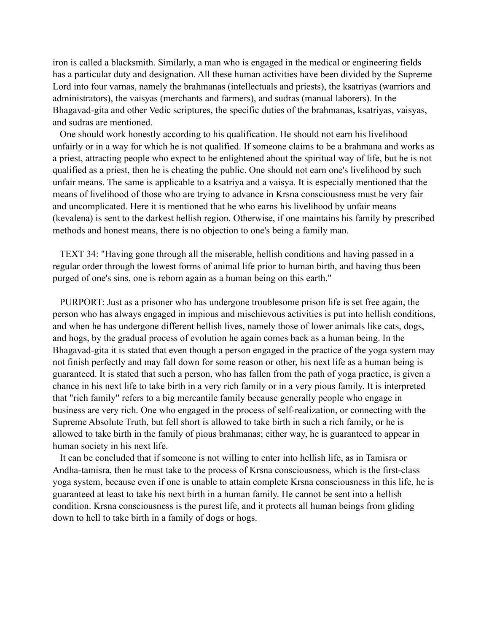iron is called a blacksmith. Similarly, a man who is engaged in the medical or engineering fields has a particular duty and designation. All these human activities have been divided by the Supreme Lord into four varnas, namely the brahmanas (intellectuals and priests), the ksatriyas (warriors and administrators), the vaisyas (merchants and farmers), and sudras (manual laborers). In the Bhagavad-gita and other Vedic scriptures, the specific duties of the brahmanas, ksatriyas, vaisyas, and sudras are mentioned.

 One should work honestly according to his qualification. He should not earn his livelihood unfairly or in a way for which he is not qualified. If someone claims to be a brahmana and works as a priest, attracting people who expect to be enlightened about the spiritual way of life, but he is not qualified as a priest, then he is cheating the public. One should not earn one's livelihood by such unfair means. The same is applicable to a ksatriya and a vaisya. It is especially mentioned that the means of livelihood of those who are trying to advance in Krsna consciousness must be very fair and uncomplicated. Here it is mentioned that he who earns his livelihood by unfair means (kevalena) is sent to the darkest hellish region. Otherwise, if one maintains his family by prescribed methods and honest means, there is no objection to one's being a family man.

 TEXT 34: "Having gone through all the miserable, hellish conditions and having passed in a regular order through the lowest forms of animal life prior to human birth, and having thus been purged of one's sins, one is reborn again as a human being on this earth."

 PURPORT: Just as a prisoner who has undergone troublesome prison life is set free again, the person who has always engaged in impious and mischievous activities is put into hellish conditions, and when he has undergone different hellish lives, namely those of lower animals like cats, dogs, and hogs, by the gradual process of evolution he again comes back as a human being. In the Bhagavad-gita it is stated that even though a person engaged in the practice of the yoga system may not finish perfectly and may fall down for some reason or other, his next life as a human being is guaranteed. It is stated that such a person, who has fallen from the path of yoga practice, is given a chance in his next life to take birth in a very rich family or in a very pious family. It is interpreted that "rich family" refers to a big mercantile family because generally people who engage in business are very rich. One who engaged in the process of self-realization, or connecting with the Supreme Absolute Truth, but fell short is allowed to take birth in such a rich family, or he is allowed to take birth in the family of pious brahmanas; either way, he is guaranteed to appear in human society in his next life.

 It can be concluded that if someone is not willing to enter into hellish life, as in Tamisra or Andha-tamisra, then he must take to the process of Krsna consciousness, which is the first-class yoga system, because even if one is unable to attain complete Krsna consciousness in this life, he is guaranteed at least to take his next birth in a human family. He cannot be sent into a hellish condition. Krsna consciousness is the purest life, and it protects all human beings from gliding down to hell to take birth in a family of dogs or hogs.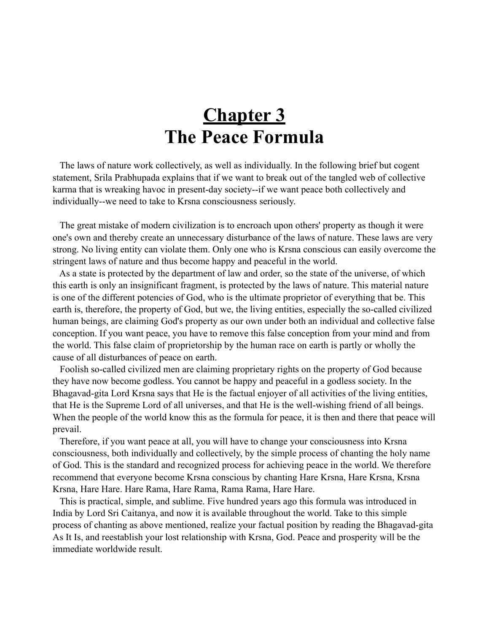## **Chapter 3 The Peace Formula**

 The laws of nature work collectively, as well as individually. In the following brief but cogent statement, Srila Prabhupada explains that if we want to break out of the tangled web of collective karma that is wreaking havoc in present-day society--if we want peace both collectively and individually--we need to take to Krsna consciousness seriously.

 The great mistake of modern civilization is to encroach upon others' property as though it were one's own and thereby create an unnecessary disturbance of the laws of nature. These laws are very strong. No living entity can violate them. Only one who is Krsna conscious can easily overcome the stringent laws of nature and thus become happy and peaceful in the world.

 As a state is protected by the department of law and order, so the state of the universe, of which this earth is only an insignificant fragment, is protected by the laws of nature. This material nature is one of the different potencies of God, who is the ultimate proprietor of everything that be. This earth is, therefore, the property of God, but we, the living entities, especially the so-called civilized human beings, are claiming God's property as our own under both an individual and collective false conception. If you want peace, you have to remove this false conception from your mind and from the world. This false claim of proprietorship by the human race on earth is partly or wholly the cause of all disturbances of peace on earth.

 Foolish so-called civilized men are claiming proprietary rights on the property of God because they have now become godless. You cannot be happy and peaceful in a godless society. In the Bhagavad-gita Lord Krsna says that He is the factual enjoyer of all activities of the living entities, that He is the Supreme Lord of all universes, and that He is the well-wishing friend of all beings. When the people of the world know this as the formula for peace, it is then and there that peace will prevail.

 Therefore, if you want peace at all, you will have to change your consciousness into Krsna consciousness, both individually and collectively, by the simple process of chanting the holy name of God. This is the standard and recognized process for achieving peace in the world. We therefore recommend that everyone become Krsna conscious by chanting Hare Krsna, Hare Krsna, Krsna Krsna, Hare Hare. Hare Rama, Hare Rama, Rama Rama, Hare Hare.

 This is practical, simple, and sublime. Five hundred years ago this formula was introduced in India by Lord Sri Caitanya, and now it is available throughout the world. Take to this simple process of chanting as above mentioned, realize your factual position by reading the Bhagavad-gita As It Is, and reestablish your lost relationship with Krsna, God. Peace and prosperity will be the immediate worldwide result.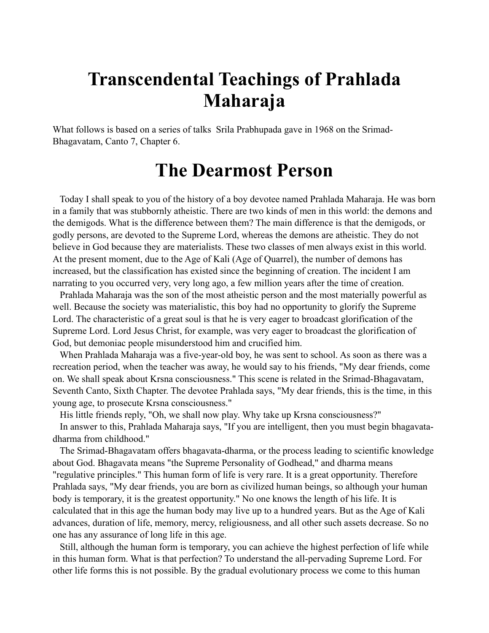## **Transcendental Teachings of Prahlada Maharaja**

What follows is based on a series of talks Srila Prabhupada gave in 1968 on the Srimad-Bhagavatam, Canto 7, Chapter 6.

## **The Dearmost Person**

 Today I shall speak to you of the history of a boy devotee named Prahlada Maharaja. He was born in a family that was stubbornly atheistic. There are two kinds of men in this world: the demons and the demigods. What is the difference between them? The main difference is that the demigods, or godly persons, are devoted to the Supreme Lord, whereas the demons are atheistic. They do not believe in God because they are materialists. These two classes of men always exist in this world. At the present moment, due to the Age of Kali (Age of Quarrel), the number of demons has increased, but the classification has existed since the beginning of creation. The incident I am narrating to you occurred very, very long ago, a few million years after the time of creation.

 Prahlada Maharaja was the son of the most atheistic person and the most materially powerful as well. Because the society was materialistic, this boy had no opportunity to glorify the Supreme Lord. The characteristic of a great soul is that he is very eager to broadcast glorification of the Supreme Lord. Lord Jesus Christ, for example, was very eager to broadcast the glorification of God, but demoniac people misunderstood him and crucified him.

 When Prahlada Maharaja was a five-year-old boy, he was sent to school. As soon as there was a recreation period, when the teacher was away, he would say to his friends, "My dear friends, come on. We shall speak about Krsna consciousness." This scene is related in the Srimad-Bhagavatam, Seventh Canto, Sixth Chapter. The devotee Prahlada says, "My dear friends, this is the time, in this young age, to prosecute Krsna consciousness."

His little friends reply, "Oh, we shall now play. Why take up Krsna consciousness?"

 In answer to this, Prahlada Maharaja says, "If you are intelligent, then you must begin bhagavatadharma from childhood."

 The Srimad-Bhagavatam offers bhagavata-dharma, or the process leading to scientific knowledge about God. Bhagavata means "the Supreme Personality of Godhead," and dharma means "regulative principles." This human form of life is very rare. It is a great opportunity. Therefore Prahlada says, "My dear friends, you are born as civilized human beings, so although your human body is temporary, it is the greatest opportunity." No one knows the length of his life. It is calculated that in this age the human body may live up to a hundred years. But as the Age of Kali advances, duration of life, memory, mercy, religiousness, and all other such assets decrease. So no one has any assurance of long life in this age.

 Still, although the human form is temporary, you can achieve the highest perfection of life while in this human form. What is that perfection? To understand the all-pervading Supreme Lord. For other life forms this is not possible. By the gradual evolutionary process we come to this human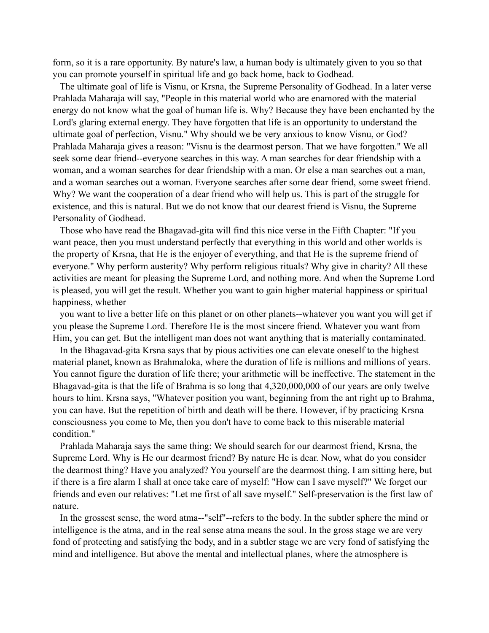form, so it is a rare opportunity. By nature's law, a human body is ultimately given to you so that you can promote yourself in spiritual life and go back home, back to Godhead.

 The ultimate goal of life is Visnu, or Krsna, the Supreme Personality of Godhead. In a later verse Prahlada Maharaja will say, "People in this material world who are enamored with the material energy do not know what the goal of human life is. Why? Because they have been enchanted by the Lord's glaring external energy. They have forgotten that life is an opportunity to understand the ultimate goal of perfection, Visnu." Why should we be very anxious to know Visnu, or God? Prahlada Maharaja gives a reason: "Visnu is the dearmost person. That we have forgotten." We all seek some dear friend--everyone searches in this way. A man searches for dear friendship with a woman, and a woman searches for dear friendship with a man. Or else a man searches out a man, and a woman searches out a woman. Everyone searches after some dear friend, some sweet friend. Why? We want the cooperation of a dear friend who will help us. This is part of the struggle for existence, and this is natural. But we do not know that our dearest friend is Visnu, the Supreme Personality of Godhead.

 Those who have read the Bhagavad-gita will find this nice verse in the Fifth Chapter: "If you want peace, then you must understand perfectly that everything in this world and other worlds is the property of Krsna, that He is the enjoyer of everything, and that He is the supreme friend of everyone." Why perform austerity? Why perform religious rituals? Why give in charity? All these activities are meant for pleasing the Supreme Lord, and nothing more. And when the Supreme Lord is pleased, you will get the result. Whether you want to gain higher material happiness or spiritual happiness, whether

 you want to live a better life on this planet or on other planets--whatever you want you will get if you please the Supreme Lord. Therefore He is the most sincere friend. Whatever you want from Him, you can get. But the intelligent man does not want anything that is materially contaminated.

 In the Bhagavad-gita Krsna says that by pious activities one can elevate oneself to the highest material planet, known as Brahmaloka, where the duration of life is millions and millions of years. You cannot figure the duration of life there; your arithmetic will be ineffective. The statement in the Bhagavad-gita is that the life of Brahma is so long that 4,320,000,000 of our years are only twelve hours to him. Krsna says, "Whatever position you want, beginning from the ant right up to Brahma, you can have. But the repetition of birth and death will be there. However, if by practicing Krsna consciousness you come to Me, then you don't have to come back to this miserable material condition."

 Prahlada Maharaja says the same thing: We should search for our dearmost friend, Krsna, the Supreme Lord. Why is He our dearmost friend? By nature He is dear. Now, what do you consider the dearmost thing? Have you analyzed? You yourself are the dearmost thing. I am sitting here, but if there is a fire alarm I shall at once take care of myself: "How can I save myself?" We forget our friends and even our relatives: "Let me first of all save myself." Self-preservation is the first law of nature.

 In the grossest sense, the word atma--"self"--refers to the body. In the subtler sphere the mind or intelligence is the atma, and in the real sense atma means the soul. In the gross stage we are very fond of protecting and satisfying the body, and in a subtler stage we are very fond of satisfying the mind and intelligence. But above the mental and intellectual planes, where the atmosphere is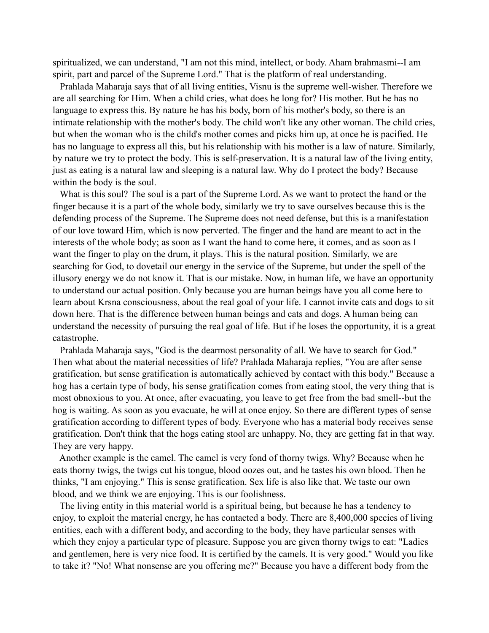spiritualized, we can understand, "I am not this mind, intellect, or body. Aham brahmasmi--I am spirit, part and parcel of the Supreme Lord." That is the platform of real understanding.

 Prahlada Maharaja says that of all living entities, Visnu is the supreme well-wisher. Therefore we are all searching for Him. When a child cries, what does he long for? His mother. But he has no language to express this. By nature he has his body, born of his mother's body, so there is an intimate relationship with the mother's body. The child won't like any other woman. The child cries, but when the woman who is the child's mother comes and picks him up, at once he is pacified. He has no language to express all this, but his relationship with his mother is a law of nature. Similarly, by nature we try to protect the body. This is self-preservation. It is a natural law of the living entity, just as eating is a natural law and sleeping is a natural law. Why do I protect the body? Because within the body is the soul.

 What is this soul? The soul is a part of the Supreme Lord. As we want to protect the hand or the finger because it is a part of the whole body, similarly we try to save ourselves because this is the defending process of the Supreme. The Supreme does not need defense, but this is a manifestation of our love toward Him, which is now perverted. The finger and the hand are meant to act in the interests of the whole body; as soon as I want the hand to come here, it comes, and as soon as I want the finger to play on the drum, it plays. This is the natural position. Similarly, we are searching for God, to dovetail our energy in the service of the Supreme, but under the spell of the illusory energy we do not know it. That is our mistake. Now, in human life, we have an opportunity to understand our actual position. Only because you are human beings have you all come here to learn about Krsna consciousness, about the real goal of your life. I cannot invite cats and dogs to sit down here. That is the difference between human beings and cats and dogs. A human being can understand the necessity of pursuing the real goal of life. But if he loses the opportunity, it is a great catastrophe.

 Prahlada Maharaja says, "God is the dearmost personality of all. We have to search for God." Then what about the material necessities of life? Prahlada Maharaja replies, "You are after sense gratification, but sense gratification is automatically achieved by contact with this body." Because a hog has a certain type of body, his sense gratification comes from eating stool, the very thing that is most obnoxious to you. At once, after evacuating, you leave to get free from the bad smell--but the hog is waiting. As soon as you evacuate, he will at once enjoy. So there are different types of sense gratification according to different types of body. Everyone who has a material body receives sense gratification. Don't think that the hogs eating stool are unhappy. No, they are getting fat in that way. They are very happy.

 Another example is the camel. The camel is very fond of thorny twigs. Why? Because when he eats thorny twigs, the twigs cut his tongue, blood oozes out, and he tastes his own blood. Then he thinks, "I am enjoying." This is sense gratification. Sex life is also like that. We taste our own blood, and we think we are enjoying. This is our foolishness.

 The living entity in this material world is a spiritual being, but because he has a tendency to enjoy, to exploit the material energy, he has contacted a body. There are 8,400,000 species of living entities, each with a different body, and according to the body, they have particular senses with which they enjoy a particular type of pleasure. Suppose you are given thorny twigs to eat: "Ladies and gentlemen, here is very nice food. It is certified by the camels. It is very good." Would you like to take it? "No! What nonsense are you offering me?" Because you have a different body from the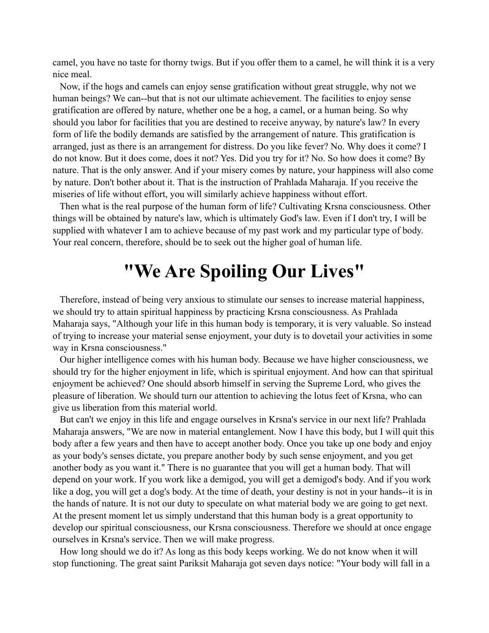camel, you have no taste for thorny twigs. But if you offer them to a camel, he will think it is a very nice meal.

 Now, if the hogs and camels can enjoy sense gratification without great struggle, why not we human beings? We can--but that is not our ultimate achievement. The facilities to enjoy sense gratification are offered by nature, whether one be a hog, a camel, or a human being. So why should you labor for facilities that you are destined to receive anyway, by nature's law? In every form of life the bodily demands are satisfied by the arrangement of nature. This gratification is arranged, just as there is an arrangement for distress. Do you like fever? No. Why does it come? I do not know. But it does come, does it not? Yes. Did you try for it? No. So how does it come? By nature. That is the only answer. And if your misery comes by nature, your happiness will also come by nature. Don't bother about it. That is the instruction of Prahlada Maharaja. If you receive the miseries of life without effort, you will similarly achieve happiness without effort.

 Then what is the real purpose of the human form of life? Cultivating Krsna consciousness. Other things will be obtained by nature's law, which is ultimately God's law. Even if I don't try, I will be supplied with whatever I am to achieve because of my past work and my particular type of body. Your real concern, therefore, should be to seek out the higher goal of human life.

## **"We Are Spoiling Our Lives"**

 Therefore, instead of being very anxious to stimulate our senses to increase material happiness, we should try to attain spiritual happiness by practicing Krsna consciousness. As Prahlada Maharaja says, "Although your life in this human body is temporary, it is very valuable. So instead of trying to increase your material sense enjoyment, your duty is to dovetail your activities in some way in Krsna consciousness."

 Our higher intelligence comes with his human body. Because we have higher consciousness, we should try for the higher enjoyment in life, which is spiritual enjoyment. And how can that spiritual enjoyment be achieved? One should absorb himself in serving the Supreme Lord, who gives the pleasure of liberation. We should turn our attention to achieving the lotus feet of Krsna, who can give us liberation from this material world.

 But can't we enjoy in this life and engage ourselves in Krsna's service in our next life? Prahlada Maharaja answers, "We are now in material entanglement. Now I have this body, but I will quit this body after a few years and then have to accept another body. Once you take up one body and enjoy as your body's senses dictate, you prepare another body by such sense enjoyment, and you get another body as you want it." There is no guarantee that you will get a human body. That will depend on your work. If you work like a demigod, you will get a demigod's body. And if you work like a dog, you will get a dog's body. At the time of death, your destiny is not in your hands--it is in the hands of nature. It is not our duty to speculate on what material body we are going to get next. At the present moment let us simply understand that this human body is a great opportunity to develop our spiritual consciousness, our Krsna consciousness. Therefore we should at once engage ourselves in Krsna's service. Then we will make progress.

 How long should we do it? As long as this body keeps working. We do not know when it will stop functioning. The great saint Pariksit Maharaja got seven days notice: "Your body will fall in a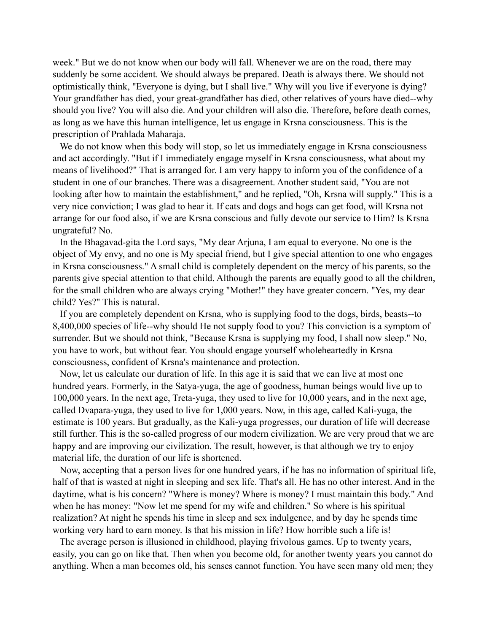week." But we do not know when our body will fall. Whenever we are on the road, there may suddenly be some accident. We should always be prepared. Death is always there. We should not optimistically think, "Everyone is dying, but I shall live." Why will you live if everyone is dying? Your grandfather has died, your great-grandfather has died, other relatives of yours have died--why should you live? You will also die. And your children will also die. Therefore, before death comes, as long as we have this human intelligence, let us engage in Krsna consciousness. This is the prescription of Prahlada Maharaja.

 We do not know when this body will stop, so let us immediately engage in Krsna consciousness and act accordingly. "But if I immediately engage myself in Krsna consciousness, what about my means of livelihood?" That is arranged for. I am very happy to inform you of the confidence of a student in one of our branches. There was a disagreement. Another student said, "You are not looking after how to maintain the establishment," and he replied, "Oh, Krsna will supply." This is a very nice conviction; I was glad to hear it. If cats and dogs and hogs can get food, will Krsna not arrange for our food also, if we are Krsna conscious and fully devote our service to Him? Is Krsna ungrateful? No.

 In the Bhagavad-gita the Lord says, "My dear Arjuna, I am equal to everyone. No one is the object of My envy, and no one is My special friend, but I give special attention to one who engages in Krsna consciousness." A small child is completely dependent on the mercy of his parents, so the parents give special attention to that child. Although the parents are equally good to all the children, for the small children who are always crying "Mother!" they have greater concern. "Yes, my dear child? Yes?" This is natural.

 If you are completely dependent on Krsna, who is supplying food to the dogs, birds, beasts--to 8,400,000 species of life--why should He not supply food to you? This conviction is a symptom of surrender. But we should not think, "Because Krsna is supplying my food, I shall now sleep." No, you have to work, but without fear. You should engage yourself wholeheartedly in Krsna consciousness, confident of Krsna's maintenance and protection.

 Now, let us calculate our duration of life. In this age it is said that we can live at most one hundred years. Formerly, in the Satya-yuga, the age of goodness, human beings would live up to 100,000 years. In the next age, Treta-yuga, they used to live for 10,000 years, and in the next age, called Dvapara-yuga, they used to live for 1,000 years. Now, in this age, called Kali-yuga, the estimate is 100 years. But gradually, as the Kali-yuga progresses, our duration of life will decrease still further. This is the so-called progress of our modern civilization. We are very proud that we are happy and are improving our civilization. The result, however, is that although we try to enjoy material life, the duration of our life is shortened.

 Now, accepting that a person lives for one hundred years, if he has no information of spiritual life, half of that is wasted at night in sleeping and sex life. That's all. He has no other interest. And in the daytime, what is his concern? "Where is money? Where is money? I must maintain this body." And when he has money: "Now let me spend for my wife and children." So where is his spiritual realization? At night he spends his time in sleep and sex indulgence, and by day he spends time working very hard to earn money. Is that his mission in life? How horrible such a life is!

 The average person is illusioned in childhood, playing frivolous games. Up to twenty years, easily, you can go on like that. Then when you become old, for another twenty years you cannot do anything. When a man becomes old, his senses cannot function. You have seen many old men; they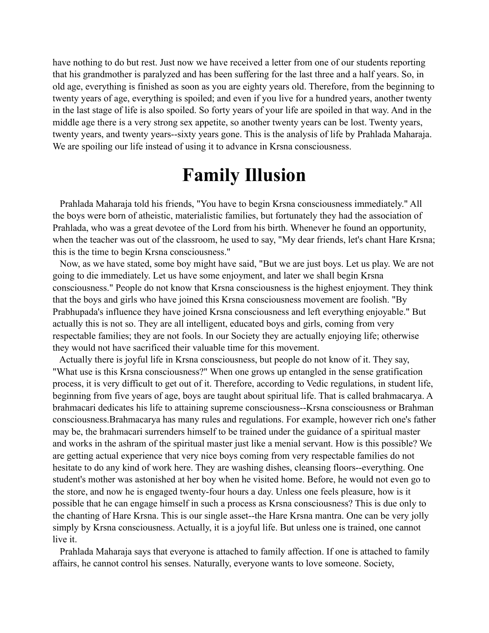have nothing to do but rest. Just now we have received a letter from one of our students reporting that his grandmother is paralyzed and has been suffering for the last three and a half years. So, in old age, everything is finished as soon as you are eighty years old. Therefore, from the beginning to twenty years of age, everything is spoiled; and even if you live for a hundred years, another twenty in the last stage of life is also spoiled. So forty years of your life are spoiled in that way. And in the middle age there is a very strong sex appetite, so another twenty years can be lost. Twenty years, twenty years, and twenty years--sixty years gone. This is the analysis of life by Prahlada Maharaja. We are spoiling our life instead of using it to advance in Krsna consciousness.

## **Family Illusion**

 Prahlada Maharaja told his friends, "You have to begin Krsna consciousness immediately." All the boys were born of atheistic, materialistic families, but fortunately they had the association of Prahlada, who was a great devotee of the Lord from his birth. Whenever he found an opportunity, when the teacher was out of the classroom, he used to say, "My dear friends, let's chant Hare Krsna; this is the time to begin Krsna consciousness."

 Now, as we have stated, some boy might have said, "But we are just boys. Let us play. We are not going to die immediately. Let us have some enjoyment, and later we shall begin Krsna consciousness." People do not know that Krsna consciousness is the highest enjoyment. They think that the boys and girls who have joined this Krsna consciousness movement are foolish. "By Prabhupada's influence they have joined Krsna consciousness and left everything enjoyable." But actually this is not so. They are all intelligent, educated boys and girls, coming from very respectable families; they are not fools. In our Society they are actually enjoying life; otherwise they would not have sacrificed their valuable time for this movement.

 Actually there is joyful life in Krsna consciousness, but people do not know of it. They say, "What use is this Krsna consciousness?" When one grows up entangled in the sense gratification process, it is very difficult to get out of it. Therefore, according to Vedic regulations, in student life, beginning from five years of age, boys are taught about spiritual life. That is called brahmacarya. A brahmacari dedicates his life to attaining supreme consciousness--Krsna consciousness or Brahman consciousness.Brahmacarya has many rules and regulations. For example, however rich one's father may be, the brahmacari surrenders himself to be trained under the guidance of a spiritual master and works in the ashram of the spiritual master just like a menial servant. How is this possible? We are getting actual experience that very nice boys coming from very respectable families do not hesitate to do any kind of work here. They are washing dishes, cleansing floors--everything. One student's mother was astonished at her boy when he visited home. Before, he would not even go to the store, and now he is engaged twenty-four hours a day. Unless one feels pleasure, how is it possible that he can engage himself in such a process as Krsna consciousness? This is due only to the chanting of Hare Krsna. This is our single asset--the Hare Krsna mantra. One can be very jolly simply by Krsna consciousness. Actually, it is a joyful life. But unless one is trained, one cannot live it.

 Prahlada Maharaja says that everyone is attached to family affection. If one is attached to family affairs, he cannot control his senses. Naturally, everyone wants to love someone. Society,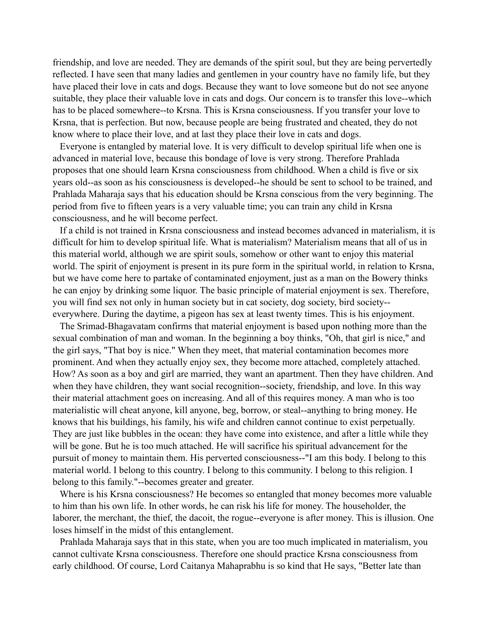friendship, and love are needed. They are demands of the spirit soul, but they are being pervertedly reflected. I have seen that many ladies and gentlemen in your country have no family life, but they have placed their love in cats and dogs. Because they want to love someone but do not see anyone suitable, they place their valuable love in cats and dogs. Our concern is to transfer this love--which has to be placed somewhere--to Krsna. This is Krsna consciousness. If you transfer your love to Krsna, that is perfection. But now, because people are being frustrated and cheated, they do not know where to place their love, and at last they place their love in cats and dogs.

 Everyone is entangled by material love. It is very difficult to develop spiritual life when one is advanced in material love, because this bondage of love is very strong. Therefore Prahlada proposes that one should learn Krsna consciousness from childhood. When a child is five or six years old--as soon as his consciousness is developed--he should be sent to school to be trained, and Prahlada Maharaja says that his education should be Krsna conscious from the very beginning. The period from five to fifteen years is a very valuable time; you can train any child in Krsna consciousness, and he will become perfect.

 If a child is not trained in Krsna consciousness and instead becomes advanced in materialism, it is difficult for him to develop spiritual life. What is materialism? Materialism means that all of us in this material world, although we are spirit souls, somehow or other want to enjoy this material world. The spirit of enjoyment is present in its pure form in the spiritual world, in relation to Krsna, but we have come here to partake of contaminated enjoyment, just as a man on the Bowery thinks he can enjoy by drinking some liquor. The basic principle of material enjoyment is sex. Therefore, you will find sex not only in human society but in cat society, dog society, bird society- everywhere. During the daytime, a pigeon has sex at least twenty times. This is his enjoyment.

 The Srimad-Bhagavatam confirms that material enjoyment is based upon nothing more than the sexual combination of man and woman. In the beginning a boy thinks, "Oh, that girl is nice," and the girl says, "That boy is nice." When they meet, that material contamination becomes more prominent. And when they actually enjoy sex, they become more attached, completely attached. How? As soon as a boy and girl are married, they want an apartment. Then they have children. And when they have children, they want social recognition--society, friendship, and love. In this way their material attachment goes on increasing. And all of this requires money. A man who is too materialistic will cheat anyone, kill anyone, beg, borrow, or steal--anything to bring money. He knows that his buildings, his family, his wife and children cannot continue to exist perpetually. They are just like bubbles in the ocean: they have come into existence, and after a little while they will be gone. But he is too much attached. He will sacrifice his spiritual advancement for the pursuit of money to maintain them. His perverted consciousness--"I am this body. I belong to this material world. I belong to this country. I belong to this community. I belong to this religion. I belong to this family."--becomes greater and greater.

 Where is his Krsna consciousness? He becomes so entangled that money becomes more valuable to him than his own life. In other words, he can risk his life for money. The householder, the laborer, the merchant, the thief, the dacoit, the rogue--everyone is after money. This is illusion. One loses himself in the midst of this entanglement.

 Prahlada Maharaja says that in this state, when you are too much implicated in materialism, you cannot cultivate Krsna consciousness. Therefore one should practice Krsna consciousness from early childhood. Of course, Lord Caitanya Mahaprabhu is so kind that He says, "Better late than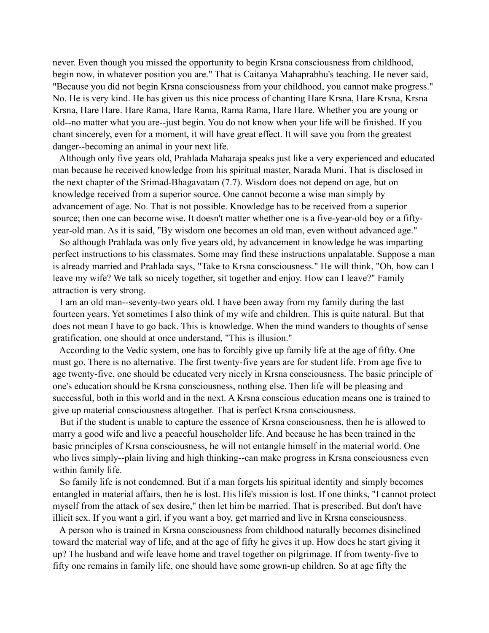never. Even though you missed the opportunity to begin Krsna consciousness from childhood, begin now, in whatever position you are." That is Caitanya Mahaprabhu's teaching. He never said, "Because you did not begin Krsna consciousness from your childhood, you cannot make progress." No. He is very kind. He has given us this nice process of chanting Hare Krsna, Hare Krsna, Krsna Krsna, Hare Hare. Hare Rama, Hare Rama, Rama Rama, Hare Hare. Whether you are young or old--no matter what you are--just begin. You do not know when your life will be finished. If you chant sincerely, even for a moment, it will have great effect. It will save you from the greatest danger--becoming an animal in your next life.

 Although only five years old, Prahlada Maharaja speaks just like a very experienced and educated man because he received knowledge from his spiritual master, Narada Muni. That is disclosed in the next chapter of the Srimad-Bhagavatam (7.7). Wisdom does not depend on age, but on knowledge received from a superior source. One cannot become a wise man simply by advancement of age. No. That is not possible. Knowledge has to be received from a superior source; then one can become wise. It doesn't matter whether one is a five-year-old boy or a fiftyyear-old man. As it is said, "By wisdom one becomes an old man, even without advanced age."

 So although Prahlada was only five years old, by advancement in knowledge he was imparting perfect instructions to his classmates. Some may find these instructions unpalatable. Suppose a man is already married and Prahlada says, "Take to Krsna consciousness." He will think, "Oh, how can I leave my wife? We talk so nicely together, sit together and enjoy. How can I leave?" Family attraction is very strong.

 I am an old man--seventy-two years old. I have been away from my family during the last fourteen years. Yet sometimes I also think of my wife and children. This is quite natural. But that does not mean I have to go back. This is knowledge. When the mind wanders to thoughts of sense gratification, one should at once understand, "This is illusion."

 According to the Vedic system, one has to forcibly give up family life at the age of fifty. One must go. There is no alternative. The first twenty-five years are for student life. From age five to age twenty-five, one should be educated very nicely in Krsna consciousness. The basic principle of one's education should be Krsna consciousness, nothing else. Then life will be pleasing and successful, both in this world and in the next. A Krsna conscious education means one is trained to give up material consciousness altogether. That is perfect Krsna consciousness.

 But if the student is unable to capture the essence of Krsna consciousness, then he is allowed to marry a good wife and live a peaceful householder life. And because he has been trained in the basic principles of Krsna consciousness, he will not entangle himself in the material world. One who lives simply--plain living and high thinking--can make progress in Krsna consciousness even within family life.

 So family life is not condemned. But if a man forgets his spiritual identity and simply becomes entangled in material affairs, then he is lost. His life's mission is lost. If one thinks, "I cannot protect myself from the attack of sex desire," then let him be married. That is prescribed. But don't have illicit sex. If you want a girl, if you want a boy, get married and live in Krsna consciousness.

 A person who is trained in Krsna consciousness from childhood naturally becomes disinclined toward the material way of life, and at the age of fifty he gives it up. How does he start giving it up? The husband and wife leave home and travel together on pilgrimage. If from twenty-five to fifty one remains in family life, one should have some grown-up children. So at age fifty the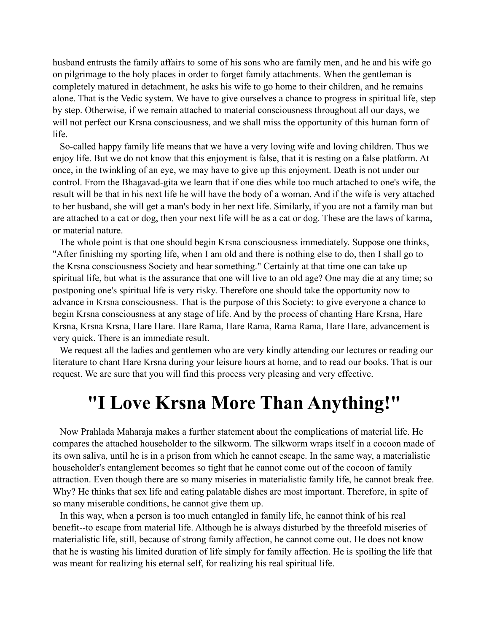husband entrusts the family affairs to some of his sons who are family men, and he and his wife go on pilgrimage to the holy places in order to forget family attachments. When the gentleman is completely matured in detachment, he asks his wife to go home to their children, and he remains alone. That is the Vedic system. We have to give ourselves a chance to progress in spiritual life, step by step. Otherwise, if we remain attached to material consciousness throughout all our days, we will not perfect our Krsna consciousness, and we shall miss the opportunity of this human form of life.

 So-called happy family life means that we have a very loving wife and loving children. Thus we enjoy life. But we do not know that this enjoyment is false, that it is resting on a false platform. At once, in the twinkling of an eye, we may have to give up this enjoyment. Death is not under our control. From the Bhagavad-gita we learn that if one dies while too much attached to one's wife, the result will be that in his next life he will have the body of a woman. And if the wife is very attached to her husband, she will get a man's body in her next life. Similarly, if you are not a family man but are attached to a cat or dog, then your next life will be as a cat or dog. These are the laws of karma, or material nature.

 The whole point is that one should begin Krsna consciousness immediately. Suppose one thinks, "After finishing my sporting life, when I am old and there is nothing else to do, then I shall go to the Krsna consciousness Society and hear something." Certainly at that time one can take up spiritual life, but what is the assurance that one will live to an old age? One may die at any time; so postponing one's spiritual life is very risky. Therefore one should take the opportunity now to advance in Krsna consciousness. That is the purpose of this Society: to give everyone a chance to begin Krsna consciousness at any stage of life. And by the process of chanting Hare Krsna, Hare Krsna, Krsna Krsna, Hare Hare. Hare Rama, Hare Rama, Rama Rama, Hare Hare, advancement is very quick. There is an immediate result.

 We request all the ladies and gentlemen who are very kindly attending our lectures or reading our literature to chant Hare Krsna during your leisure hours at home, and to read our books. That is our request. We are sure that you will find this process very pleasing and very effective.

## **"I Love Krsna More Than Anything!"**

 Now Prahlada Maharaja makes a further statement about the complications of material life. He compares the attached householder to the silkworm. The silkworm wraps itself in a cocoon made of its own saliva, until he is in a prison from which he cannot escape. In the same way, a materialistic householder's entanglement becomes so tight that he cannot come out of the cocoon of family attraction. Even though there are so many miseries in materialistic family life, he cannot break free. Why? He thinks that sex life and eating palatable dishes are most important. Therefore, in spite of so many miserable conditions, he cannot give them up.

 In this way, when a person is too much entangled in family life, he cannot think of his real benefit--to escape from material life. Although he is always disturbed by the threefold miseries of materialistic life, still, because of strong family affection, he cannot come out. He does not know that he is wasting his limited duration of life simply for family affection. He is spoiling the life that was meant for realizing his eternal self, for realizing his real spiritual life.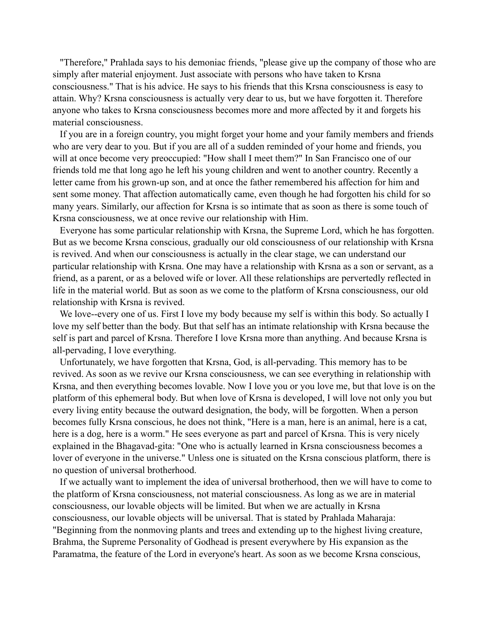"Therefore," Prahlada says to his demoniac friends, "please give up the company of those who are simply after material enjoyment. Just associate with persons who have taken to Krsna consciousness." That is his advice. He says to his friends that this Krsna consciousness is easy to attain. Why? Krsna consciousness is actually very dear to us, but we have forgotten it. Therefore anyone who takes to Krsna consciousness becomes more and more affected by it and forgets his material consciousness.

 If you are in a foreign country, you might forget your home and your family members and friends who are very dear to you. But if you are all of a sudden reminded of your home and friends, you will at once become very preoccupied: "How shall I meet them?" In San Francisco one of our friends told me that long ago he left his young children and went to another country. Recently a letter came from his grown-up son, and at once the father remembered his affection for him and sent some money. That affection automatically came, even though he had forgotten his child for so many years. Similarly, our affection for Krsna is so intimate that as soon as there is some touch of Krsna consciousness, we at once revive our relationship with Him.

 Everyone has some particular relationship with Krsna, the Supreme Lord, which he has forgotten. But as we become Krsna conscious, gradually our old consciousness of our relationship with Krsna is revived. And when our consciousness is actually in the clear stage, we can understand our particular relationship with Krsna. One may have a relationship with Krsna as a son or servant, as a friend, as a parent, or as a beloved wife or lover. All these relationships are pervertedly reflected in life in the material world. But as soon as we come to the platform of Krsna consciousness, our old relationship with Krsna is revived.

 We love--every one of us. First I love my body because my self is within this body. So actually I love my self better than the body. But that self has an intimate relationship with Krsna because the self is part and parcel of Krsna. Therefore I love Krsna more than anything. And because Krsna is all-pervading, I love everything.

 Unfortunately, we have forgotten that Krsna, God, is all-pervading. This memory has to be revived. As soon as we revive our Krsna consciousness, we can see everything in relationship with Krsna, and then everything becomes lovable. Now I love you or you love me, but that love is on the platform of this ephemeral body. But when love of Krsna is developed, I will love not only you but every living entity because the outward designation, the body, will be forgotten. When a person becomes fully Krsna conscious, he does not think, "Here is a man, here is an animal, here is a cat, here is a dog, here is a worm." He sees everyone as part and parcel of Krsna. This is very nicely explained in the Bhagavad-gita: "One who is actually learned in Krsna consciousness becomes a lover of everyone in the universe." Unless one is situated on the Krsna conscious platform, there is no question of universal brotherhood.

 If we actually want to implement the idea of universal brotherhood, then we will have to come to the platform of Krsna consciousness, not material consciousness. As long as we are in material consciousness, our lovable objects will be limited. But when we are actually in Krsna consciousness, our lovable objects will be universal. That is stated by Prahlada Maharaja: "Beginning from the nonmoving plants and trees and extending up to the highest living creature, Brahma, the Supreme Personality of Godhead is present everywhere by His expansion as the Paramatma, the feature of the Lord in everyone's heart. As soon as we become Krsna conscious,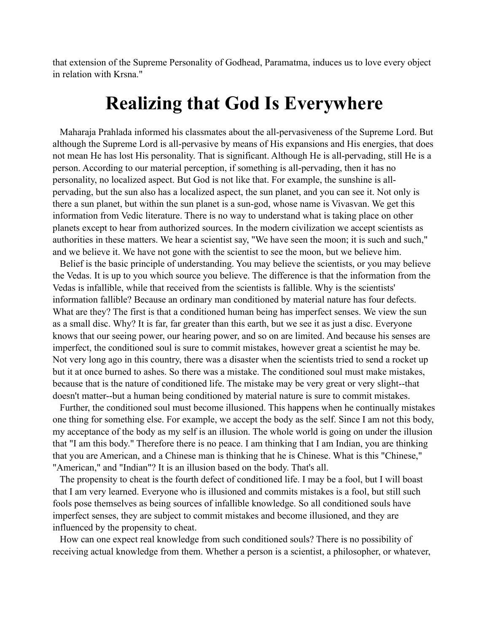that extension of the Supreme Personality of Godhead, Paramatma, induces us to love every object in relation with Krsna."

#### **Realizing that God Is Everywhere**

 Maharaja Prahlada informed his classmates about the all-pervasiveness of the Supreme Lord. But although the Supreme Lord is all-pervasive by means of His expansions and His energies, that does not mean He has lost His personality. That is significant. Although He is all-pervading, still He is a person. According to our material perception, if something is all-pervading, then it has no personality, no localized aspect. But God is not like that. For example, the sunshine is allpervading, but the sun also has a localized aspect, the sun planet, and you can see it. Not only is there a sun planet, but within the sun planet is a sun-god, whose name is Vivasvan. We get this information from Vedic literature. There is no way to understand what is taking place on other planets except to hear from authorized sources. In the modern civilization we accept scientists as authorities in these matters. We hear a scientist say, "We have seen the moon; it is such and such," and we believe it. We have not gone with the scientist to see the moon, but we believe him.

 Belief is the basic principle of understanding. You may believe the scientists, or you may believe the Vedas. It is up to you which source you believe. The difference is that the information from the Vedas is infallible, while that received from the scientists is fallible. Why is the scientists' information fallible? Because an ordinary man conditioned by material nature has four defects. What are they? The first is that a conditioned human being has imperfect senses. We view the sun as a small disc. Why? It is far, far greater than this earth, but we see it as just a disc. Everyone knows that our seeing power, our hearing power, and so on are limited. And because his senses are imperfect, the conditioned soul is sure to commit mistakes, however great a scientist he may be. Not very long ago in this country, there was a disaster when the scientists tried to send a rocket up but it at once burned to ashes. So there was a mistake. The conditioned soul must make mistakes, because that is the nature of conditioned life. The mistake may be very great or very slight--that doesn't matter--but a human being conditioned by material nature is sure to commit mistakes.

 Further, the conditioned soul must become illusioned. This happens when he continually mistakes one thing for something else. For example, we accept the body as the self. Since I am not this body, my acceptance of the body as my self is an illusion. The whole world is going on under the illusion that "I am this body." Therefore there is no peace. I am thinking that I am Indian, you are thinking that you are American, and a Chinese man is thinking that he is Chinese. What is this "Chinese," "American," and "Indian"? It is an illusion based on the body. That's all.

 The propensity to cheat is the fourth defect of conditioned life. I may be a fool, but I will boast that I am very learned. Everyone who is illusioned and commits mistakes is a fool, but still such fools pose themselves as being sources of infallible knowledge. So all conditioned souls have imperfect senses, they are subject to commit mistakes and become illusioned, and they are influenced by the propensity to cheat.

 How can one expect real knowledge from such conditioned souls? There is no possibility of receiving actual knowledge from them. Whether a person is a scientist, a philosopher, or whatever,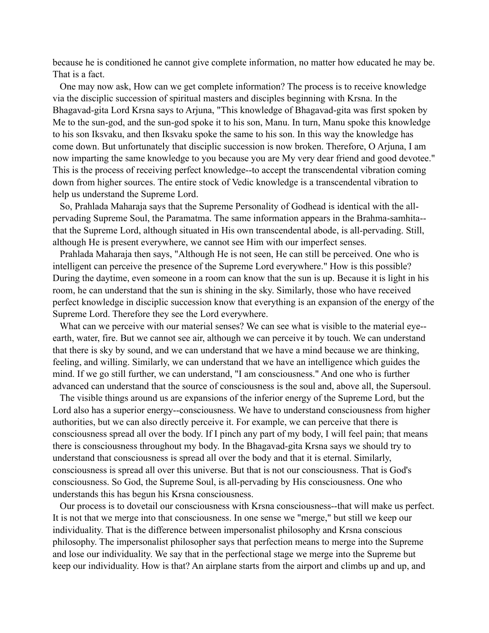because he is conditioned he cannot give complete information, no matter how educated he may be. That is a fact.

 One may now ask, How can we get complete information? The process is to receive knowledge via the disciplic succession of spiritual masters and disciples beginning with Krsna. In the Bhagavad-gita Lord Krsna says to Arjuna, "This knowledge of Bhagavad-gita was first spoken by Me to the sun-god, and the sun-god spoke it to his son, Manu. In turn, Manu spoke this knowledge to his son Iksvaku, and then Iksvaku spoke the same to his son. In this way the knowledge has come down. But unfortunately that disciplic succession is now broken. Therefore, O Arjuna, I am now imparting the same knowledge to you because you are My very dear friend and good devotee." This is the process of receiving perfect knowledge--to accept the transcendental vibration coming down from higher sources. The entire stock of Vedic knowledge is a transcendental vibration to help us understand the Supreme Lord.

 So, Prahlada Maharaja says that the Supreme Personality of Godhead is identical with the allpervading Supreme Soul, the Paramatma. The same information appears in the Brahma-samhita- that the Supreme Lord, although situated in His own transcendental abode, is all-pervading. Still, although He is present everywhere, we cannot see Him with our imperfect senses.

 Prahlada Maharaja then says, "Although He is not seen, He can still be perceived. One who is intelligent can perceive the presence of the Supreme Lord everywhere." How is this possible? During the daytime, even someone in a room can know that the sun is up. Because it is light in his room, he can understand that the sun is shining in the sky. Similarly, those who have received perfect knowledge in disciplic succession know that everything is an expansion of the energy of the Supreme Lord. Therefore they see the Lord everywhere.

What can we perceive with our material senses? We can see what is visible to the material eye-earth, water, fire. But we cannot see air, although we can perceive it by touch. We can understand that there is sky by sound, and we can understand that we have a mind because we are thinking, feeling, and willing. Similarly, we can understand that we have an intelligence which guides the mind. If we go still further, we can understand, "I am consciousness." And one who is further advanced can understand that the source of consciousness is the soul and, above all, the Supersoul.

 The visible things around us are expansions of the inferior energy of the Supreme Lord, but the Lord also has a superior energy--consciousness. We have to understand consciousness from higher authorities, but we can also directly perceive it. For example, we can perceive that there is consciousness spread all over the body. If I pinch any part of my body, I will feel pain; that means there is consciousness throughout my body. In the Bhagavad-gita Krsna says we should try to understand that consciousness is spread all over the body and that it is eternal. Similarly, consciousness is spread all over this universe. But that is not our consciousness. That is God's consciousness. So God, the Supreme Soul, is all-pervading by His consciousness. One who understands this has begun his Krsna consciousness.

 Our process is to dovetail our consciousness with Krsna consciousness--that will make us perfect. It is not that we merge into that consciousness. In one sense we "merge," but still we keep our individuality. That is the difference between impersonalist philosophy and Krsna conscious philosophy. The impersonalist philosopher says that perfection means to merge into the Supreme and lose our individuality. We say that in the perfectional stage we merge into the Supreme but keep our individuality. How is that? An airplane starts from the airport and climbs up and up, and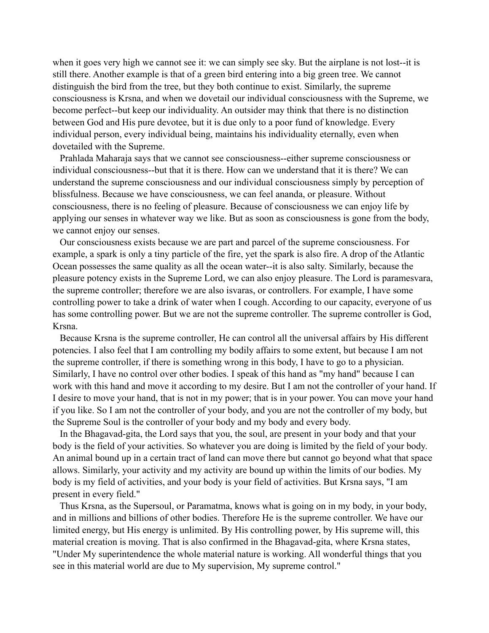when it goes very high we cannot see it: we can simply see sky. But the airplane is not lost--it is still there. Another example is that of a green bird entering into a big green tree. We cannot distinguish the bird from the tree, but they both continue to exist. Similarly, the supreme consciousness is Krsna, and when we dovetail our individual consciousness with the Supreme, we become perfect--but keep our individuality. An outsider may think that there is no distinction between God and His pure devotee, but it is due only to a poor fund of knowledge. Every individual person, every individual being, maintains his individuality eternally, even when dovetailed with the Supreme.

 Prahlada Maharaja says that we cannot see consciousness--either supreme consciousness or individual consciousness--but that it is there. How can we understand that it is there? We can understand the supreme consciousness and our individual consciousness simply by perception of blissfulness. Because we have consciousness, we can feel ananda, or pleasure. Without consciousness, there is no feeling of pleasure. Because of consciousness we can enjoy life by applying our senses in whatever way we like. But as soon as consciousness is gone from the body, we cannot enjoy our senses.

 Our consciousness exists because we are part and parcel of the supreme consciousness. For example, a spark is only a tiny particle of the fire, yet the spark is also fire. A drop of the Atlantic Ocean possesses the same quality as all the ocean water--it is also salty. Similarly, because the pleasure potency exists in the Supreme Lord, we can also enjoy pleasure. The Lord is paramesvara, the supreme controller; therefore we are also isvaras, or controllers. For example, I have some controlling power to take a drink of water when I cough. According to our capacity, everyone of us has some controlling power. But we are not the supreme controller. The supreme controller is God, Krsna.

 Because Krsna is the supreme controller, He can control all the universal affairs by His different potencies. I also feel that I am controlling my bodily affairs to some extent, but because I am not the supreme controller, if there is something wrong in this body, I have to go to a physician. Similarly, I have no control over other bodies. I speak of this hand as "my hand" because I can work with this hand and move it according to my desire. But I am not the controller of your hand. If I desire to move your hand, that is not in my power; that is in your power. You can move your hand if you like. So I am not the controller of your body, and you are not the controller of my body, but the Supreme Soul is the controller of your body and my body and every body.

 In the Bhagavad-gita, the Lord says that you, the soul, are present in your body and that your body is the field of your activities. So whatever you are doing is limited by the field of your body. An animal bound up in a certain tract of land can move there but cannot go beyond what that space allows. Similarly, your activity and my activity are bound up within the limits of our bodies. My body is my field of activities, and your body is your field of activities. But Krsna says, "I am present in every field."

 Thus Krsna, as the Supersoul, or Paramatma, knows what is going on in my body, in your body, and in millions and billions of other bodies. Therefore He is the supreme controller. We have our limited energy, but His energy is unlimited. By His controlling power, by His supreme will, this material creation is moving. That is also confirmed in the Bhagavad-gita, where Krsna states, "Under My superintendence the whole material nature is working. All wonderful things that you see in this material world are due to My supervision, My supreme control."